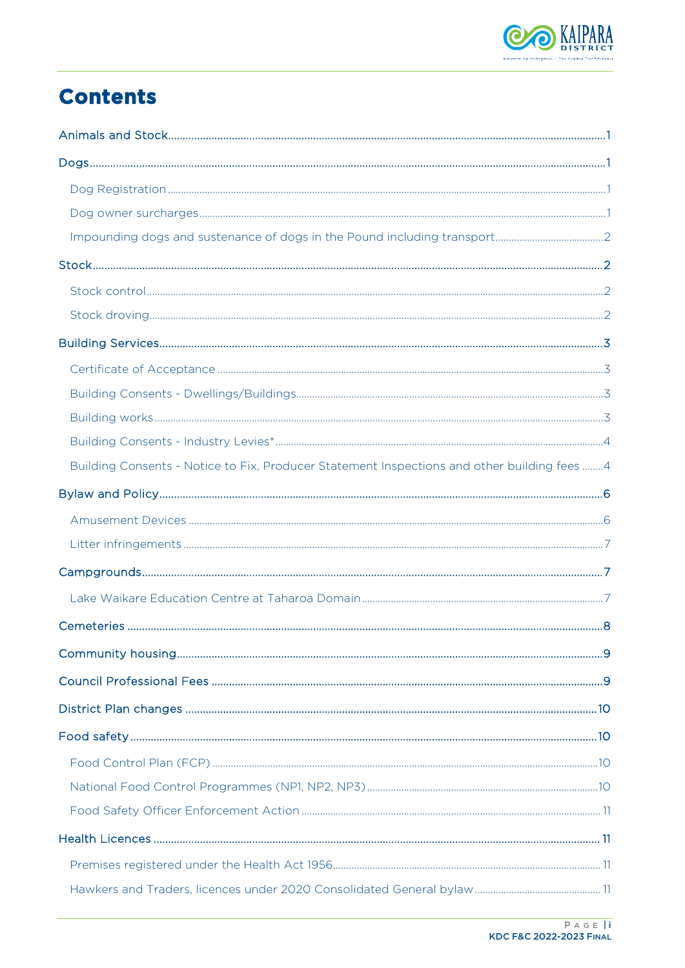

# **Contents**

| Building Consents - Notice to Fix, Producer Statement Inspections and other building fees 4 |  |
|---------------------------------------------------------------------------------------------|--|
|                                                                                             |  |
|                                                                                             |  |
|                                                                                             |  |
|                                                                                             |  |
|                                                                                             |  |
|                                                                                             |  |
|                                                                                             |  |
|                                                                                             |  |
|                                                                                             |  |
|                                                                                             |  |
|                                                                                             |  |
|                                                                                             |  |
|                                                                                             |  |
|                                                                                             |  |
|                                                                                             |  |
|                                                                                             |  |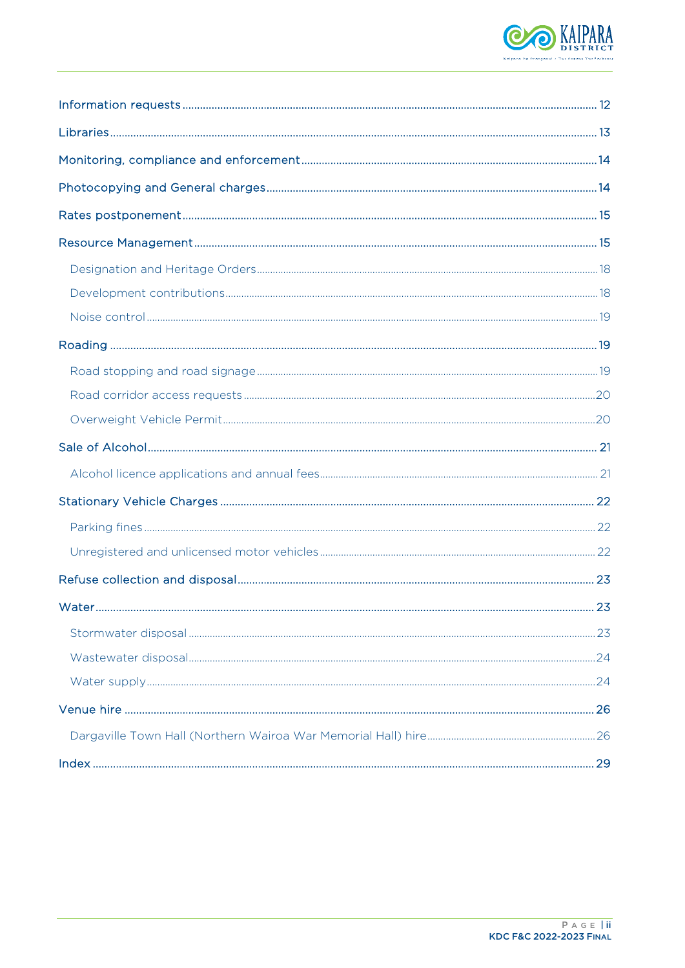

| 23 |
|----|
|    |
|    |
|    |
|    |
|    |
|    |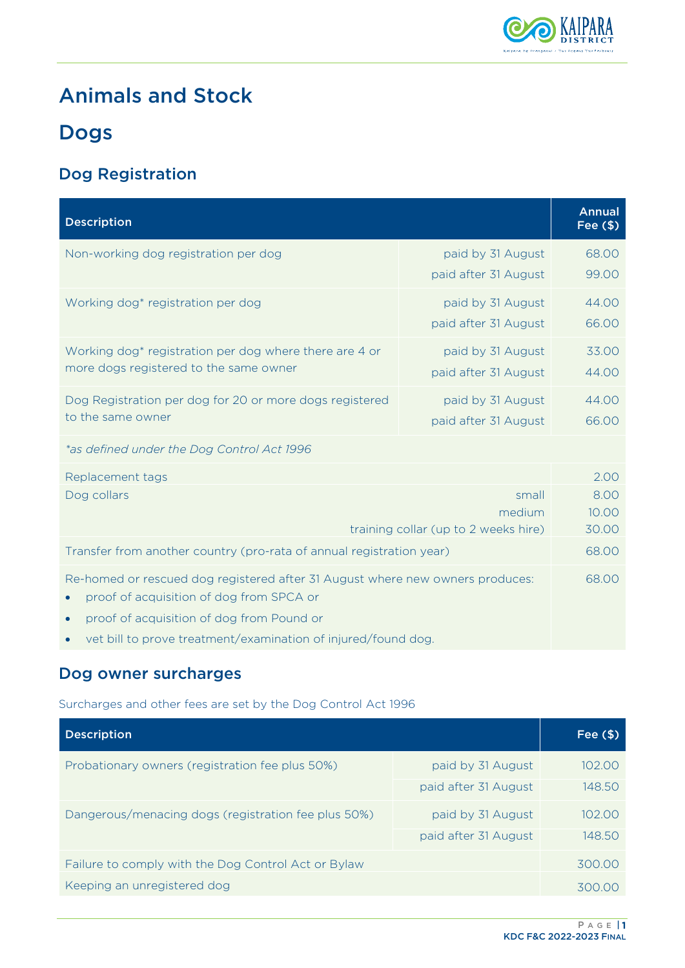

# <span id="page-2-0"></span>Animals and Stock

# <span id="page-2-1"></span>Dogs

## <span id="page-2-2"></span>Dog Registration

| <b>Description</b>                                                                                                                                                                                                                                   |                                           | <b>Annual</b><br>Fee $($ \$)   |
|------------------------------------------------------------------------------------------------------------------------------------------------------------------------------------------------------------------------------------------------------|-------------------------------------------|--------------------------------|
| Non-working dog registration per dog                                                                                                                                                                                                                 | paid by 31 August<br>paid after 31 August | 68.00<br>99.00                 |
| Working dog* registration per dog                                                                                                                                                                                                                    | paid by 31 August<br>paid after 31 August | 44.00<br>66.00                 |
| Working dog* registration per dog where there are 4 or<br>more dogs registered to the same owner                                                                                                                                                     | paid by 31 August<br>paid after 31 August | 33.00<br>44.00                 |
| Dog Registration per dog for 20 or more dogs registered<br>to the same owner                                                                                                                                                                         | paid by 31 August<br>paid after 31 August | 44.00<br>66.00                 |
| *as defined under the Dog Control Act 1996                                                                                                                                                                                                           |                                           |                                |
| Replacement tags<br>Dog collars<br>small<br>medium<br>training collar (up to 2 weeks hire)                                                                                                                                                           |                                           | 2.00<br>8.00<br>10.00<br>30.00 |
| Transfer from another country (pro-rata of annual registration year)                                                                                                                                                                                 |                                           | 68.00                          |
| Re-homed or rescued dog registered after 31 August where new owners produces:<br>proof of acquisition of dog from SPCA or<br>proof of acquisition of dog from Pound or<br>$\bullet$<br>vet bill to prove treatment/examination of injured/found dog. |                                           | 68.00                          |

### <span id="page-2-3"></span>Dog owner surcharges

Surcharges and other fees are set by the Dog Control Act 1996

| <b>Description</b>                                  |                      | Fee $($ \$) |
|-----------------------------------------------------|----------------------|-------------|
| Probationary owners (registration fee plus 50%)     | paid by 31 August    | 102.00      |
|                                                     | paid after 31 August | 148.50      |
| Dangerous/menacing dogs (registration fee plus 50%) | paid by 31 August    | 102.00      |
|                                                     | paid after 31 August | 148.50      |
| Failure to comply with the Dog Control Act or Bylaw |                      | 300.00      |
| Keeping an unregistered dog                         |                      | 300.00      |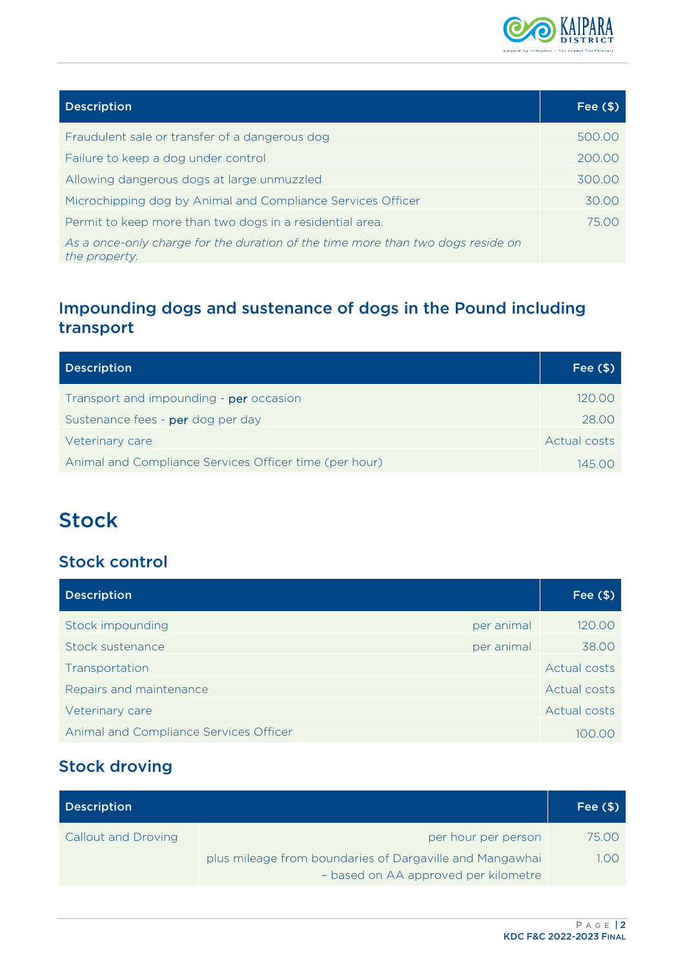

| <b>Description</b>                                                                               | Fee $($ \$) |
|--------------------------------------------------------------------------------------------------|-------------|
| Fraudulent sale or transfer of a dangerous dog                                                   | 500.00      |
| Failure to keep a dog under control                                                              | 200.00      |
| Allowing dangerous dogs at large unmuzzled                                                       | 300.00      |
| Microchipping dog by Animal and Compliance Services Officer                                      | 30.00       |
| Permit to keep more than two dogs in a residential area.                                         | 75.00       |
| As a once-only charge for the duration of the time more than two dogs reside on<br>the property. |             |

## <span id="page-3-0"></span>Impounding dogs and sustenance of dogs in the Pound including transport

| <b>Description</b>                                     | Fee $($ \$)  |
|--------------------------------------------------------|--------------|
| Transport and impounding - per occasion                | 120.00       |
| Sustenance fees - per dog per day                      | 28.00        |
| Veterinary care                                        | Actual costs |
| Animal and Compliance Services Officer time (per hour) | 145.00       |

# <span id="page-3-1"></span>**Stock**

### <span id="page-3-2"></span>Stock control

| <b>Description</b>                     | Fee $($ \$)          |
|----------------------------------------|----------------------|
| Stock impounding                       | 120.00<br>per animal |
| Stock sustenance                       | 38.00<br>per animal  |
| Transportation                         | <b>Actual costs</b>  |
| Repairs and maintenance                | Actual costs         |
| Veterinary care                        | Actual costs         |
| Animal and Compliance Services Officer | 100.00               |

## <span id="page-3-3"></span>Stock droving

| <b>Description</b>         |                                                          | Fee $($ \$) |
|----------------------------|----------------------------------------------------------|-------------|
| <b>Callout and Droving</b> | per hour per person                                      | 75.00       |
|                            | plus mileage from boundaries of Dargaville and Mangawhai | 1.00        |
|                            | - based on AA approved per kilometre                     |             |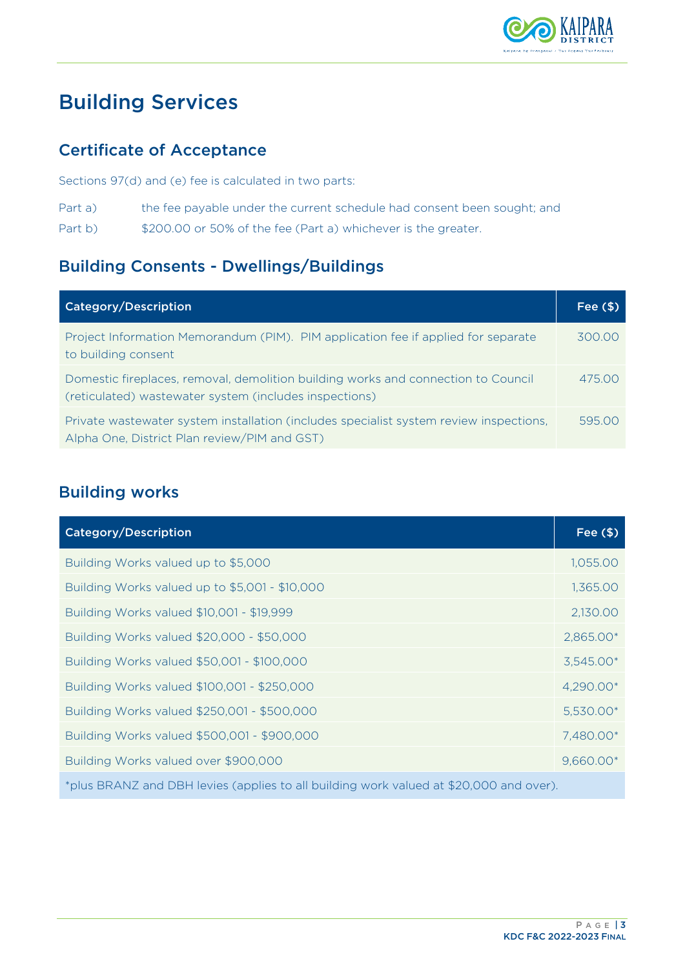

# <span id="page-4-0"></span>Building Services

### <span id="page-4-1"></span>Certificate of Acceptance

Sections 97(d) and (e) fee is calculated in two parts:

- Part a) the fee payable under the current schedule had consent been sought; and
- Part b)  $$200.00$  or 50% of the fee (Part a) whichever is the greater.

### <span id="page-4-2"></span>Building Consents - Dwellings/Buildings

| <b>Category/Description</b>                                                                                                                 | Fee $($ \$ |
|---------------------------------------------------------------------------------------------------------------------------------------------|------------|
| Project Information Memorandum (PIM). PIM application fee if applied for separate<br>to building consent                                    | 300.00     |
| Domestic fireplaces, removal, demolition building works and connection to Council<br>(reticulated) wastewater system (includes inspections) | 475.00     |
| Private wastewater system installation (includes specialist system review inspections,<br>Alpha One, District Plan review/PIM and GST)      | 595.00     |

### <span id="page-4-3"></span>Building works

| <b>Category/Description</b>                                                            | Fee $($ \$) |  |
|----------------------------------------------------------------------------------------|-------------|--|
| Building Works valued up to \$5,000                                                    | 1,055.00    |  |
| Building Works valued up to \$5,001 - \$10,000                                         | 1,365.00    |  |
| Building Works valued \$10,001 - \$19,999                                              | 2,130.00    |  |
| Building Works valued \$20,000 - \$50,000                                              | 2,865.00*   |  |
| Building Works valued \$50,001 - \$100,000                                             | 3,545.00*   |  |
| Building Works valued \$100,001 - \$250,000                                            | 4,290.00*   |  |
| Building Works valued \$250,001 - \$500,000                                            | 5,530.00*   |  |
| Building Works valued \$500,001 - \$900,000                                            | 7,480.00*   |  |
| Building Works valued over \$900,000                                                   | 9,660.00*   |  |
| *plus BRANZ and DBH levies (applies to all building work valued at \$20,000 and over). |             |  |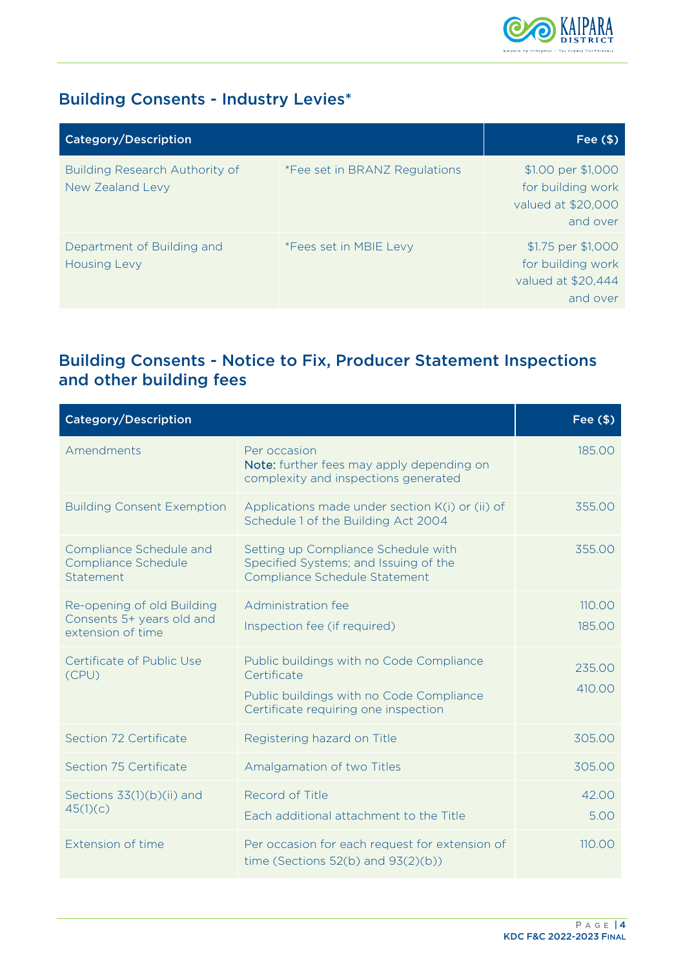

## <span id="page-5-0"></span>Building Consents - Industry Levies\*

| <b>Category/Description</b>                        |                                      | Fee $($ \$)                                                               |
|----------------------------------------------------|--------------------------------------|---------------------------------------------------------------------------|
| Building Research Authority of<br>New Zealand Levy | <i>*Fee set in BRANZ Regulations</i> | \$1.00 per \$1,000<br>for building work<br>valued at \$20,000<br>and over |
| Department of Building and<br><b>Housing Levy</b>  | *Fees set in MBIE Levy               | \$1.75 per \$1,000<br>for building work<br>valued at \$20,444<br>and over |

## <span id="page-5-1"></span>Building Consents - Notice to Fix, Producer Statement Inspections and other building fees

| <b>Category/Description</b>                                 |                                                                                                               | Fee $($ \$) |
|-------------------------------------------------------------|---------------------------------------------------------------------------------------------------------------|-------------|
| Amendments                                                  | Per occasion<br>Note: further fees may apply depending on<br>complexity and inspections generated             | 185.00      |
| <b>Building Consent Exemption</b>                           | Applications made under section K(i) or (ii) of<br>Schedule 1 of the Building Act 2004                        | 355.00      |
| Compliance Schedule and<br>Compliance Schedule<br>Statement | Setting up Compliance Schedule with<br>Specified Systems; and Issuing of the<br>Compliance Schedule Statement | 355.00      |
| Re-opening of old Building                                  | Administration fee                                                                                            | 110.00      |
| Consents 5+ years old and<br>extension of time              | Inspection fee (if required)                                                                                  | 185.00      |
| Certificate of Public Use<br>(CPU)                          | Public buildings with no Code Compliance<br>Certificate                                                       | 235.00      |
|                                                             | Public buildings with no Code Compliance<br>Certificate requiring one inspection                              | 410.00      |
| Section 72 Certificate                                      | Registering hazard on Title                                                                                   | 305.00      |
| Section 75 Certificate                                      | Amalgamation of two Titles                                                                                    | 305.00      |
| Sections 33(1)(b)(ii) and<br>45(1)(c)                       | Record of Title                                                                                               | 42.00       |
|                                                             | Each additional attachment to the Title                                                                       | 5.00        |
| Extension of time                                           | Per occasion for each request for extension of<br>time (Sections $52(b)$ and $93(2)(b)$ )                     | 110.00      |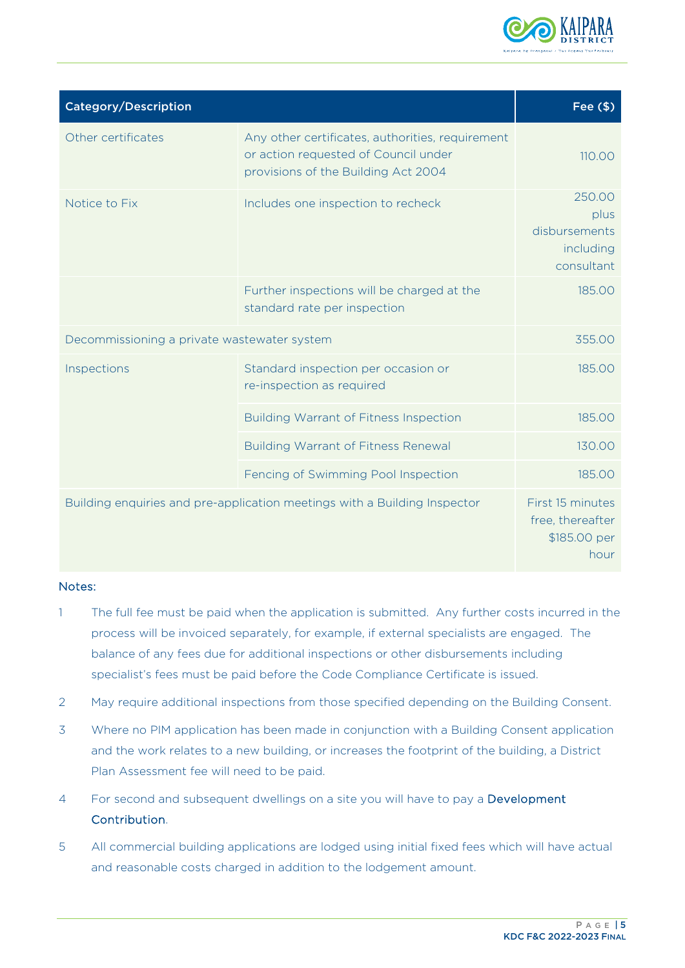

| <b>Category/Description</b>                 |                                                                                                                                 | Fee $($ \$)                                                  |
|---------------------------------------------|---------------------------------------------------------------------------------------------------------------------------------|--------------------------------------------------------------|
| Other certificates                          | Any other certificates, authorities, requirement<br>or action requested of Council under<br>provisions of the Building Act 2004 | 110.00                                                       |
| Notice to Fix                               | Includes one inspection to recheck                                                                                              | 250.00<br>plus<br>disbursements<br>including<br>consultant   |
|                                             | Further inspections will be charged at the<br>standard rate per inspection                                                      | 185.00                                                       |
| Decommissioning a private wastewater system |                                                                                                                                 | 355.00                                                       |
| Inspections                                 | Standard inspection per occasion or<br>re-inspection as required                                                                | 185.00                                                       |
|                                             | <b>Building Warrant of Fitness Inspection</b>                                                                                   | 185.00                                                       |
|                                             | <b>Building Warrant of Fitness Renewal</b>                                                                                      | 130.00                                                       |
|                                             | Fencing of Swimming Pool Inspection                                                                                             | 185.00                                                       |
|                                             | Building enquiries and pre-application meetings with a Building Inspector                                                       | First 15 minutes<br>free, thereafter<br>\$185.00 per<br>hour |

#### Notes:

- 1 The full fee must be paid when the application is submitted. Any further costs incurred in the process will be invoiced separately, for example, if external specialists are engaged. The balance of any fees due for additional inspections or other disbursements including specialist's fees must be paid before the Code Compliance Certificate is issued.
- 2 May require additional inspections from those specified depending on the Building Consent.
- 3 Where no PIM application has been made in conjunction with a Building Consent application and the work relates to a new building, or increases the footprint of the building, a District Plan Assessment fee will need to be paid.
- 4 For second and subsequent dwellings on a site you will have to pay a Development Contribution.
- 5 All commercial building applications are lodged using initial fixed fees which will have actual and reasonable costs charged in addition to the lodgement amount.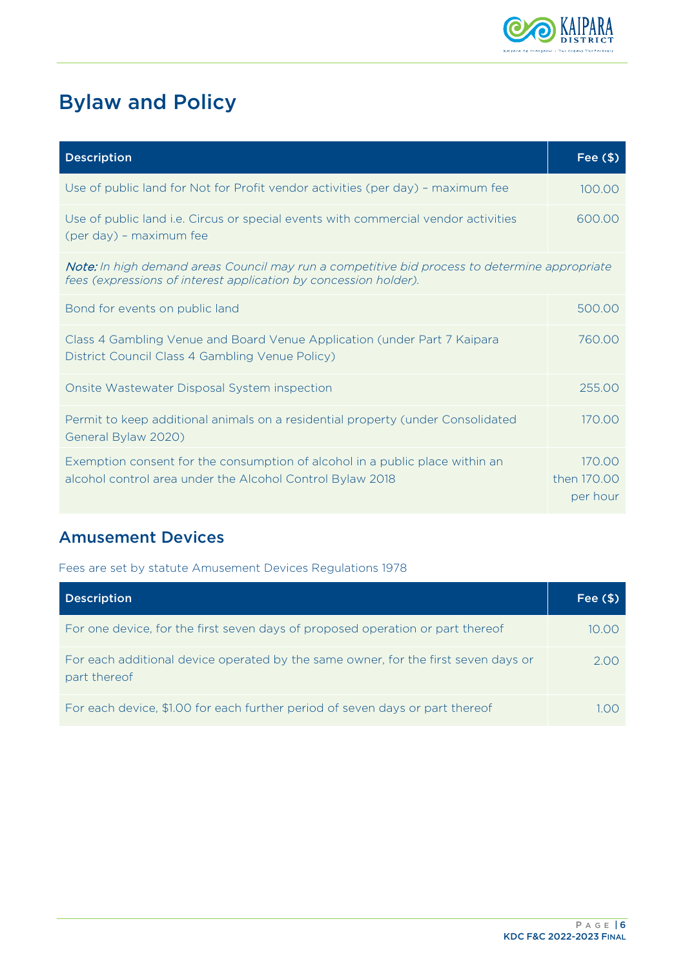

# <span id="page-7-0"></span>Bylaw and Policy

| <b>Description</b>                                                                                                                                                | Fee $($ \$)                       |
|-------------------------------------------------------------------------------------------------------------------------------------------------------------------|-----------------------------------|
| Use of public land for Not for Profit vendor activities (per day) - maximum fee                                                                                   | 100.00                            |
| Use of public land i.e. Circus or special events with commercial vendor activities<br>(per day) - maximum fee                                                     | 600.00                            |
| Note: In high demand areas Council may run a competitive bid process to determine appropriate<br>fees (expressions of interest application by concession holder). |                                   |
| Bond for events on public land                                                                                                                                    | 500.00                            |
| Class 4 Gambling Venue and Board Venue Application (under Part 7 Kaipara<br>District Council Class 4 Gambling Venue Policy)                                       | 760.00                            |
| Onsite Wastewater Disposal System inspection                                                                                                                      | 255.00                            |
| Permit to keep additional animals on a residential property (under Consolidated<br>General Bylaw 2020)                                                            | 170.00                            |
| Exemption consent for the consumption of alcohol in a public place within an<br>alcohol control area under the Alcohol Control Bylaw 2018                         | 170.00<br>then 170.00<br>per hour |

## <span id="page-7-1"></span>Amusement Devices

Fees are set by statute Amusement Devices Regulations 1978

<span id="page-7-2"></span>

| <b>Description</b>                                                                                 | Fee $($ \$) |
|----------------------------------------------------------------------------------------------------|-------------|
| For one device, for the first seven days of proposed operation or part thereof                     | 10 OO       |
| For each additional device operated by the same owner, for the first seven days or<br>part thereof | 2.00        |
| For each device, \$1.00 for each further period of seven days or part thereof                      |             |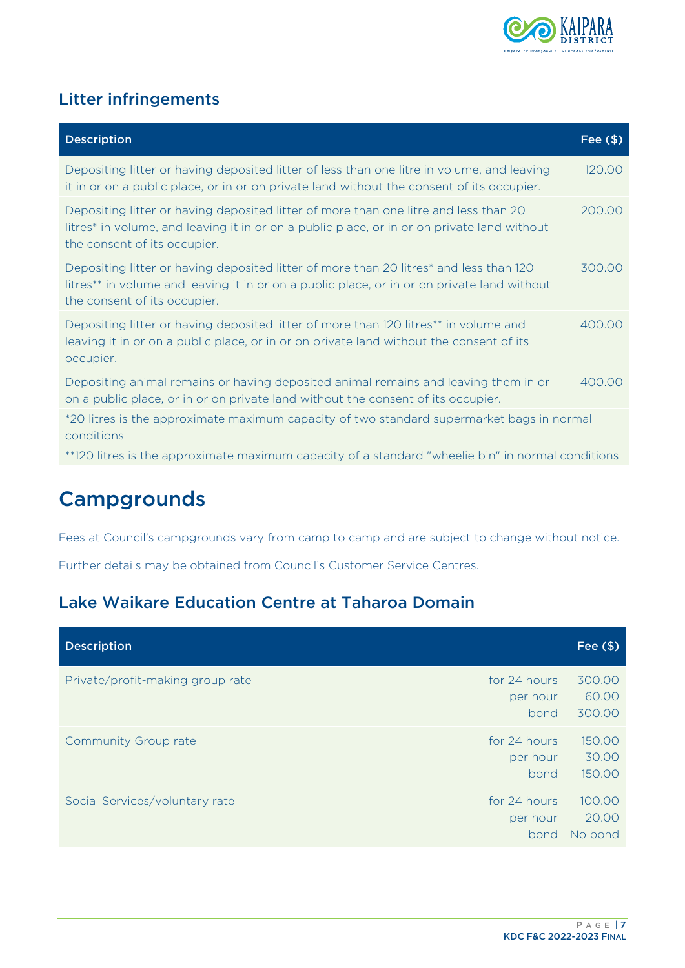

## Litter infringements

| <b>Description</b>                                                                                                                                                                                                                | Fee $($ \$) |
|-----------------------------------------------------------------------------------------------------------------------------------------------------------------------------------------------------------------------------------|-------------|
| Depositing litter or having deposited litter of less than one litre in volume, and leaving<br>it in or on a public place, or in or on private land without the consent of its occupier.                                           | 120.00      |
| Depositing litter or having deposited litter of more than one litre and less than 20<br>litres* in volume, and leaving it in or on a public place, or in or on private land without<br>the consent of its occupier.               | 200.00      |
| Depositing litter or having deposited litter of more than 20 litres <sup>*</sup> and less than 120<br>litres** in volume and leaving it in or on a public place, or in or on private land without<br>the consent of its occupier. | 300.00      |
| Depositing litter or having deposited litter of more than 120 litres** in volume and<br>leaving it in or on a public place, or in or on private land without the consent of its<br>occupier.                                      | 400.00      |
| Depositing animal remains or having deposited animal remains and leaving them in or<br>on a public place, or in or on private land without the consent of its occupier.                                                           | 400.00      |
| *20 litres is the approximate maximum capacity of two standard supermarket bags in normal<br>conditions                                                                                                                           |             |
| **120 litres is the approximate maximum capacity of a standard "wheelie bin" in normal conditions                                                                                                                                 |             |

# <span id="page-8-0"></span>**Campgrounds**

Fees at Council's campgrounds vary from camp to camp and are subject to change without notice.

Further details may be obtained from Council's Customer Service Centres.

## <span id="page-8-1"></span>Lake Waikare Education Centre at Taharoa Domain

| <b>Description</b>                                                   | Fee $($ \$)                |
|----------------------------------------------------------------------|----------------------------|
| Private/profit-making group rate<br>for 24 hours<br>per hour<br>bond | 300.00<br>60.00<br>300.00  |
| for 24 hours<br><b>Community Group rate</b><br>per hour<br>bond      | 150.00<br>30.00<br>150.00  |
| Social Services/voluntary rate<br>for 24 hours<br>per hour<br>bond   | 100.00<br>20.00<br>No bond |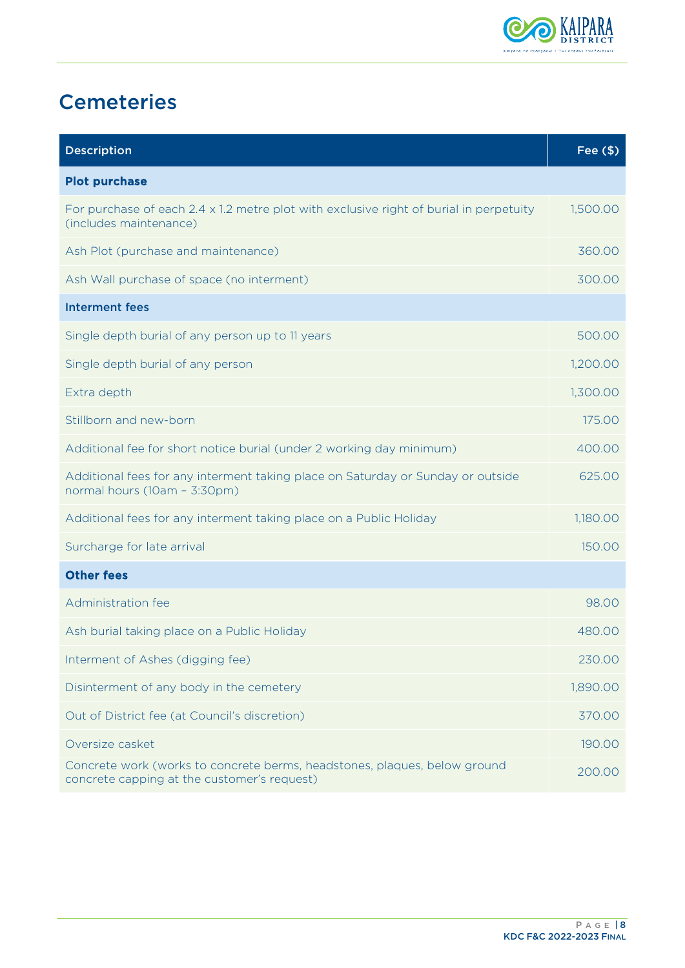

# <span id="page-9-0"></span>**Cemeteries**

| <b>Description</b>                                                                                                       | Fee $($ \$) |
|--------------------------------------------------------------------------------------------------------------------------|-------------|
| <b>Plot purchase</b>                                                                                                     |             |
| For purchase of each $2.4 \times 1.2$ metre plot with exclusive right of burial in perpetuity<br>(includes maintenance)  | 1,500.00    |
| Ash Plot (purchase and maintenance)                                                                                      | 360.00      |
| Ash Wall purchase of space (no interment)                                                                                | 300.00      |
| <b>Interment fees</b>                                                                                                    |             |
| Single depth burial of any person up to 11 years                                                                         | 500.00      |
| Single depth burial of any person                                                                                        | 1,200.00    |
| Extra depth                                                                                                              | 1,300.00    |
| Stillborn and new-born                                                                                                   | 175.00      |
| Additional fee for short notice burial (under 2 working day minimum)                                                     | 400.00      |
| Additional fees for any interment taking place on Saturday or Sunday or outside<br>normal hours (10am - 3:30pm)          | 625.00      |
| Additional fees for any interment taking place on a Public Holiday                                                       | 1,180.00    |
| Surcharge for late arrival                                                                                               | 150.00      |
| <b>Other fees</b>                                                                                                        |             |
| Administration fee                                                                                                       | 98.00       |
| Ash burial taking place on a Public Holiday                                                                              | 480.00      |
| Interment of Ashes (digging fee)                                                                                         | 230.00      |
| Disinterment of any body in the cemetery                                                                                 | 1,890.00    |
| Out of District fee (at Council's discretion)                                                                            | 370.00      |
| Oversize casket                                                                                                          | 190.00      |
| Concrete work (works to concrete berms, headstones, plaques, below ground<br>concrete capping at the customer's request) | 200.00      |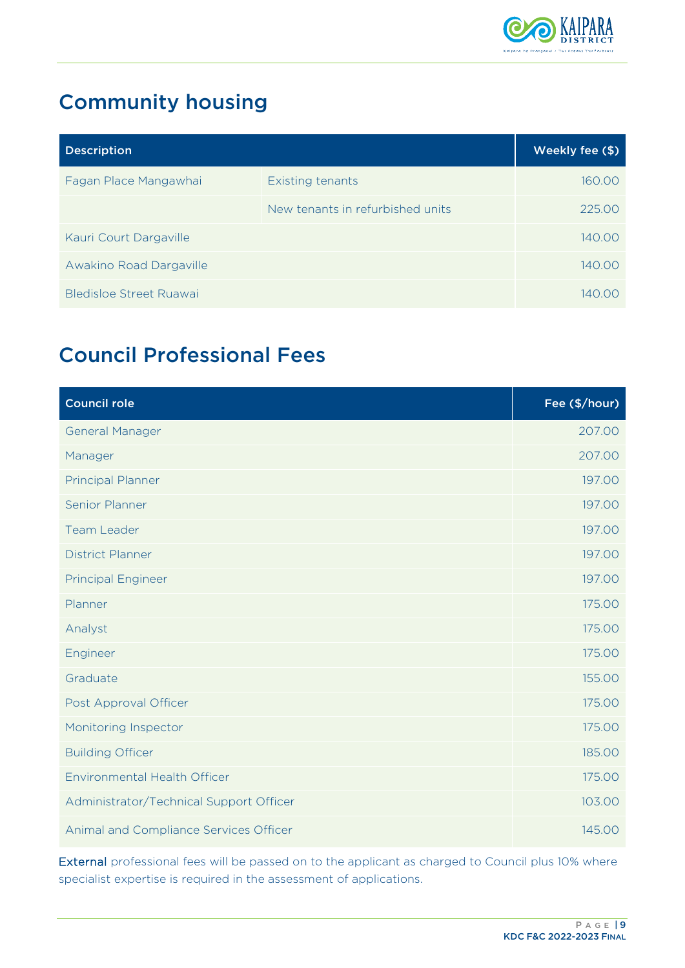

# <span id="page-10-0"></span>Community housing

| <b>Description</b>      |                                  | Weekly fee (\$) |
|-------------------------|----------------------------------|-----------------|
| Fagan Place Mangawhai   | Existing tenants                 | 160.00          |
|                         | New tenants in refurbished units | 225.00          |
| Kauri Court Dargaville  |                                  | 140.00          |
| Awakino Road Dargaville |                                  | 140.00          |
| Bledisloe Street Ruawai |                                  | 14000           |

# <span id="page-10-1"></span>Council Professional Fees

| <b>Council role</b>                     | Fee (\$/hour) |
|-----------------------------------------|---------------|
| <b>General Manager</b>                  | 207.00        |
| Manager                                 | 207.00        |
| <b>Principal Planner</b>                | 197.00        |
| Senior Planner                          | 197.00        |
| <b>Team Leader</b>                      | 197.00        |
| <b>District Planner</b>                 | 197.00        |
| <b>Principal Engineer</b>               | 197.00        |
| Planner                                 | 175.00        |
| Analyst                                 | 175.00        |
| Engineer                                | 175.00        |
| Graduate                                | 155.00        |
| Post Approval Officer                   | 175.00        |
| Monitoring Inspector                    | 175.00        |
| <b>Building Officer</b>                 | 185.00        |
| Environmental Health Officer            | 175.00        |
| Administrator/Technical Support Officer | 103.00        |
| Animal and Compliance Services Officer  | 145.00        |

External professional fees will be passed on to the applicant as charged to Council plus 10% where specialist expertise is required in the assessment of applications.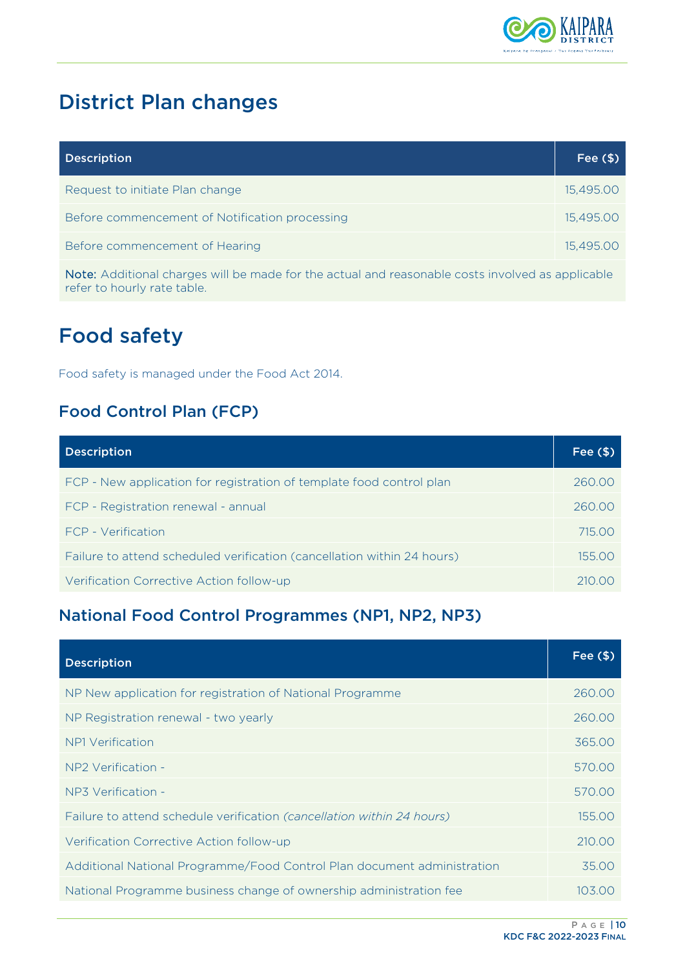

# <span id="page-11-0"></span>District Plan changes

| <b>Description</b>                                                                                                    | Fee $($ \$) |
|-----------------------------------------------------------------------------------------------------------------------|-------------|
| Request to initiate Plan change                                                                                       | 15,495.00   |
| Before commencement of Notification processing                                                                        | 15,495.00   |
| Before commencement of Hearing                                                                                        | 15,495.00   |
| A FELET A SERING SET SISTEMA DE STRIFFE SON LES SON INFORMATIONS DE LA SERING DE LA SERING DE LA SERING DE LA MEDIA E |             |

Note: Additional charges will be made for the actual and reasonable costs involved as applicable refer to hourly rate table.

# <span id="page-11-1"></span>Food safety

Food safety is managed under the Food Act 2014.

## <span id="page-11-2"></span>Food Control Plan (FCP)

| <b>Description</b>                                                      | Fee $($ \$) |
|-------------------------------------------------------------------------|-------------|
| FCP - New application for registration of template food control plan    | 260.00      |
| FCP - Registration renewal - annual                                     | 260.00      |
| FCP - Verification                                                      | 715.00      |
| Failure to attend scheduled verification (cancellation within 24 hours) | 155.00      |
| Verification Corrective Action follow-up                                | 210 OO      |

## <span id="page-11-3"></span>National Food Control Programmes (NP1, NP2, NP3)

| <b>Description</b>                                                      | Fee $($ \$) |
|-------------------------------------------------------------------------|-------------|
| NP New application for registration of National Programme               | 260.00      |
| NP Registration renewal - two yearly                                    | 260.00      |
| NP1 Verification                                                        | 365.00      |
| NP2 Verification -                                                      | 570.00      |
| NP3 Verification -                                                      | 570.00      |
| Failure to attend schedule verification (cancellation within 24 hours)  | 155.00      |
| Verification Corrective Action follow-up                                | 210.00      |
| Additional National Programme/Food Control Plan document administration | 35.00       |
| National Programme business change of ownership administration fee      | 103.00      |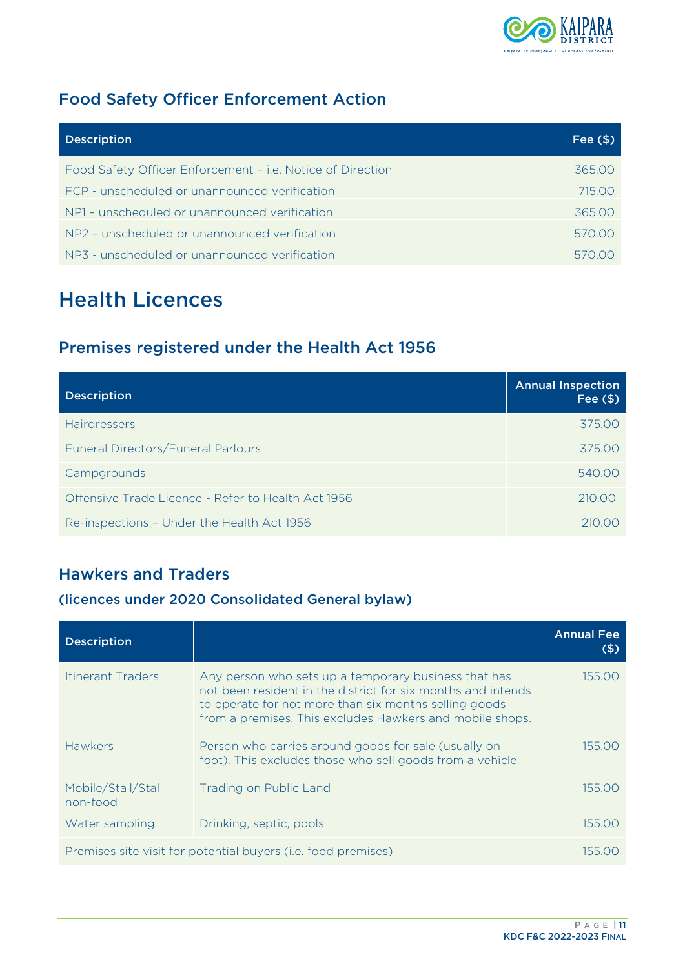

## <span id="page-12-0"></span>Food Safety Officer Enforcement Action

| <b>Description</b>                                         | Fee $(\$)$ |
|------------------------------------------------------------|------------|
| Food Safety Officer Enforcement - i.e. Notice of Direction | 365.00     |
| FCP - unscheduled or unannounced verification              | 715.00     |
| NP1 - unscheduled or unannounced verification              | 365.00     |
| NP2 - unscheduled or unannounced verification              | 570.00     |
| NP3 - unscheduled or unannounced verification              |            |

# <span id="page-12-1"></span>Health Licences

## <span id="page-12-2"></span>Premises registered under the Health Act 1956

| <b>Description</b>                                 | <b>Annual Inspection</b><br>Fee $($ \$) |
|----------------------------------------------------|-----------------------------------------|
| <b>Hairdressers</b>                                | 375.00                                  |
| Funeral Directors/Funeral Parlours                 | 375.00                                  |
| Campgrounds                                        | 540.00                                  |
| Offensive Trade Licence - Refer to Health Act 1956 | 210.00                                  |
| Re-inspections - Under the Health Act 1956         | 210.00                                  |

## <span id="page-12-3"></span>Hawkers and Traders

#### (licences under 2020 Consolidated General bylaw)

| <b>Description</b>             |                                                                                                                                                                                                                                           | <b>Annual Fee</b><br>(S) |
|--------------------------------|-------------------------------------------------------------------------------------------------------------------------------------------------------------------------------------------------------------------------------------------|--------------------------|
| <b>Itinerant Traders</b>       | Any person who sets up a temporary business that has<br>not been resident in the district for six months and intends<br>to operate for not more than six months selling goods<br>from a premises. This excludes Hawkers and mobile shops. | 155.00                   |
| <b>Hawkers</b>                 | Person who carries around goods for sale (usually on<br>foot). This excludes those who sell goods from a vehicle.                                                                                                                         | 155.00                   |
| Mobile/Stall/Stall<br>non-food | <b>Trading on Public Land</b>                                                                                                                                                                                                             | 155.00                   |
| Water sampling                 | Drinking, septic, pools                                                                                                                                                                                                                   | 155.00                   |
|                                | Premises site visit for potential buyers (i.e. food premises)                                                                                                                                                                             | 155.00                   |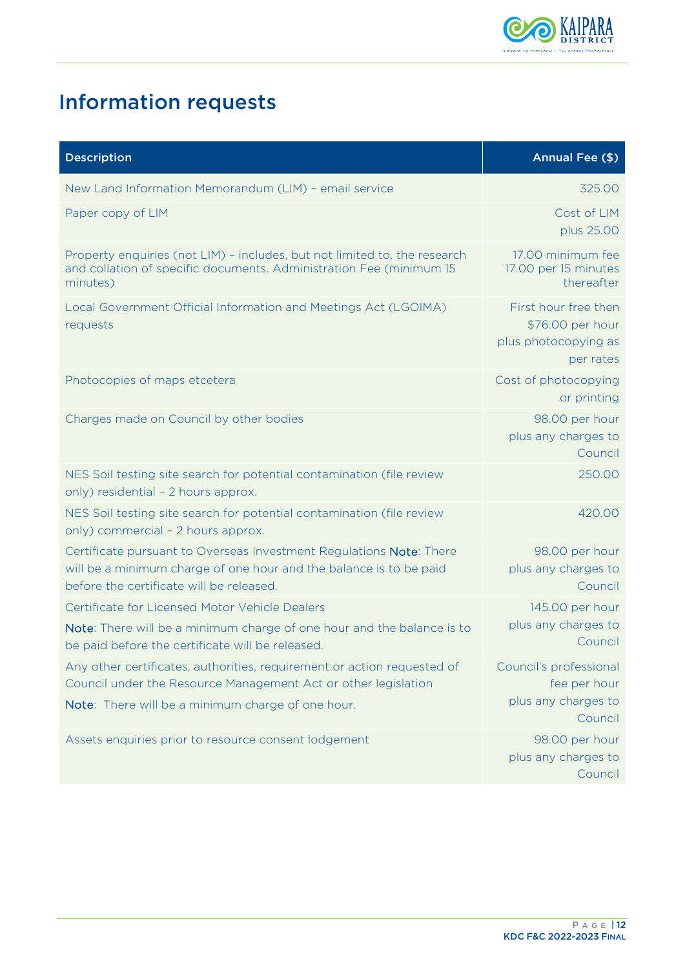

# <span id="page-13-0"></span>Information requests

| <b>Description</b>                                                                                                                                                                             | Annual Fee (\$)                                                               |
|------------------------------------------------------------------------------------------------------------------------------------------------------------------------------------------------|-------------------------------------------------------------------------------|
| New Land Information Memorandum (LIM) - email service                                                                                                                                          | 325.00                                                                        |
| Paper copy of LIM                                                                                                                                                                              | Cost of LIM<br>plus 25.00                                                     |
| Property enquiries (not LIM) - includes, but not limited to, the research<br>and collation of specific documents. Administration Fee (minimum 15<br>minutes)                                   | 17.00 minimum fee<br>17.00 per 15 minutes<br>thereafter                       |
| Local Government Official Information and Meetings Act (LGOIMA)<br>requests                                                                                                                    | First hour free then<br>\$76.00 per hour<br>plus photocopying as<br>per rates |
| Photocopies of maps etcetera                                                                                                                                                                   | Cost of photocopying<br>or printing                                           |
| Charges made on Council by other bodies                                                                                                                                                        | 98.00 per hour<br>plus any charges to<br>Council                              |
| NES Soil testing site search for potential contamination (file review<br>only) residential - 2 hours approx.                                                                                   | 250.00                                                                        |
| NES Soil testing site search for potential contamination (file review<br>only) commercial - 2 hours approx.                                                                                    | 420.00                                                                        |
| Certificate pursuant to Overseas Investment Regulations Note: There<br>will be a minimum charge of one hour and the balance is to be paid<br>before the certificate will be released.          | 98.00 per hour<br>plus any charges to<br>Council                              |
| Certificate for Licensed Motor Vehicle Dealers                                                                                                                                                 | 145.00 per hour                                                               |
| Note: There will be a minimum charge of one hour and the balance is to<br>be paid before the certificate will be released.                                                                     | plus any charges to<br>Council                                                |
| Any other certificates, authorities, requirement or action requested of<br>Council under the Resource Management Act or other legislation<br>Note: There will be a minimum charge of one hour. | Council's professional<br>fee per hour<br>plus any charges to<br>Council      |
| Assets enquiries prior to resource consent lodgement                                                                                                                                           | 98.00 per hour<br>plus any charges to<br>Council                              |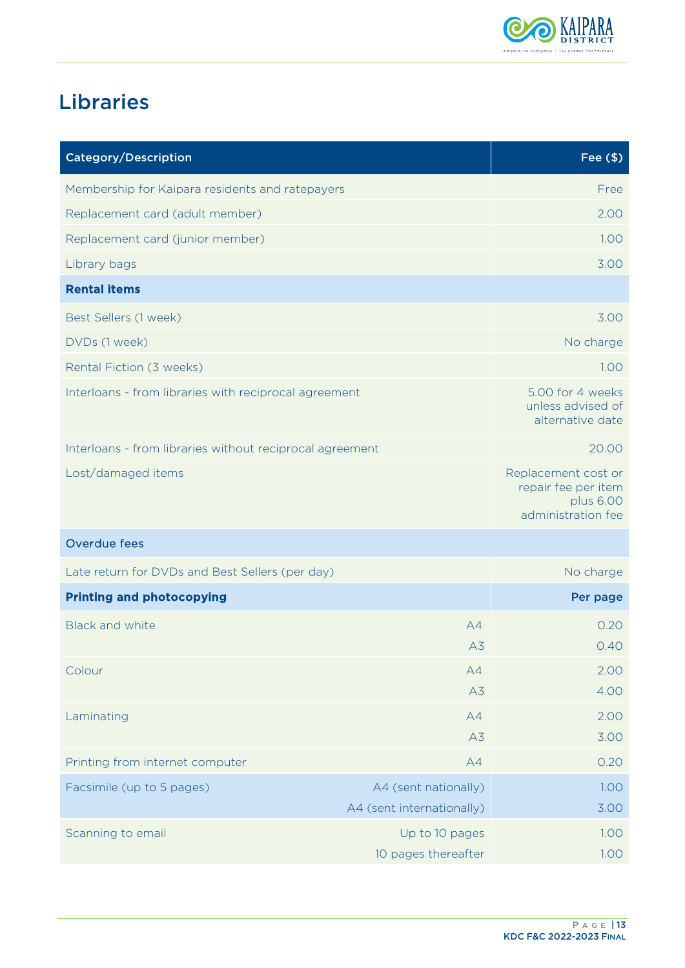

# <span id="page-14-0"></span>Libraries

| <b>Category/Description</b>                              |                                                   | Fee $(\$)$                                                                    |
|----------------------------------------------------------|---------------------------------------------------|-------------------------------------------------------------------------------|
| Membership for Kaipara residents and ratepayers          |                                                   | Free                                                                          |
| Replacement card (adult member)                          |                                                   | 2.00                                                                          |
| Replacement card (junior member)                         |                                                   | 1.00                                                                          |
| Library bags                                             |                                                   | 3.00                                                                          |
| <b>Rental items</b>                                      |                                                   |                                                                               |
| Best Sellers (1 week)                                    |                                                   | 3.00                                                                          |
| DVDs (1 week)                                            |                                                   | No charge                                                                     |
| Rental Fiction (3 weeks)                                 |                                                   | 1.00                                                                          |
| Interloans - from libraries with reciprocal agreement    |                                                   | 5.00 for 4 weeks<br>unless advised of<br>alternative date                     |
| Interloans - from libraries without reciprocal agreement |                                                   | 20.00                                                                         |
| Lost/damaged items                                       |                                                   | Replacement cost or<br>repair fee per item<br>plus 6.00<br>administration fee |
| Overdue fees                                             |                                                   |                                                                               |
| Late return for DVDs and Best Sellers (per day)          |                                                   | No charge                                                                     |
| <b>Printing and photocopying</b>                         |                                                   | Per page                                                                      |
| <b>Black and white</b>                                   | A4                                                | 0.20                                                                          |
|                                                          | A <sub>3</sub>                                    | 0.40                                                                          |
| Colour                                                   | A4                                                | 2.00                                                                          |
|                                                          | A3                                                | 4.00                                                                          |
| Laminating                                               | A4                                                | 2.00                                                                          |
|                                                          | A3                                                | 3.00                                                                          |
| Printing from internet computer                          | A4                                                | 0.20                                                                          |
| Facsimile (up to 5 pages)                                | A4 (sent nationally)<br>A4 (sent internationally) | 1.00<br>3.00                                                                  |
| Scanning to email                                        | Up to 10 pages<br>10 pages thereafter             | 1.00<br>1.00                                                                  |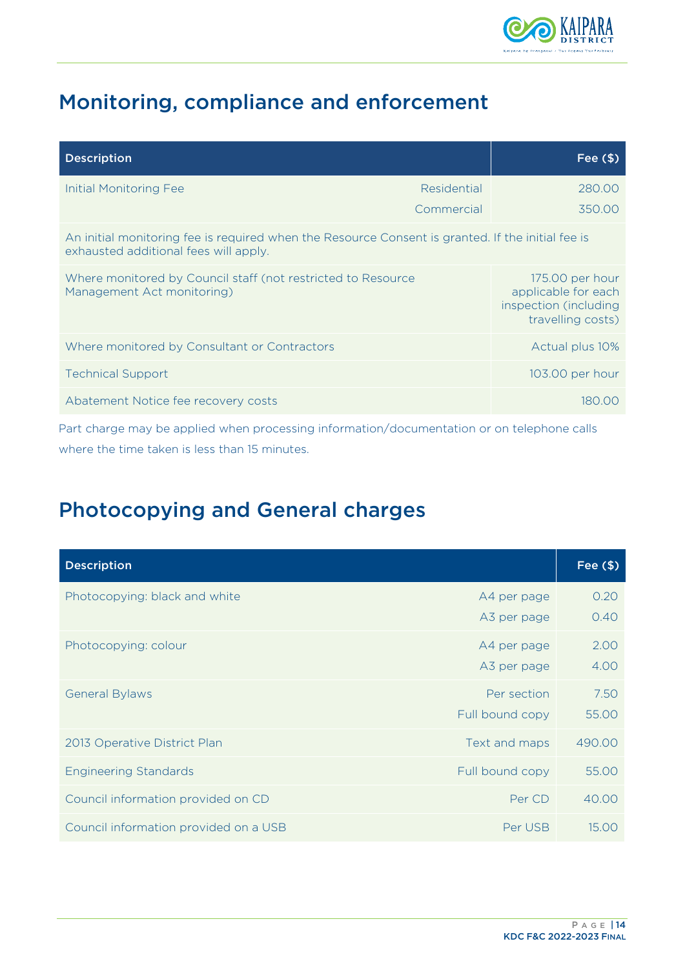

# <span id="page-15-0"></span>Monitoring, compliance and enforcement

| <b>Description</b>                                                                                                                         |             | Fee $($ \$)                                                                          |
|--------------------------------------------------------------------------------------------------------------------------------------------|-------------|--------------------------------------------------------------------------------------|
| <b>Initial Monitoring Fee</b>                                                                                                              | Residential | 280.00                                                                               |
|                                                                                                                                            | Commercial  | 350.00                                                                               |
| An initial monitoring fee is required when the Resource Consent is granted. If the initial fee is<br>exhausted additional fees will apply. |             |                                                                                      |
| Where monitored by Council staff (not restricted to Resource<br>Management Act monitoring)                                                 |             | 175.00 per hour<br>applicable for each<br>inspection (including<br>travelling costs) |
| Where monitored by Consultant or Contractors                                                                                               |             | Actual plus 10%                                                                      |
| <b>Technical Support</b>                                                                                                                   |             | 103.00 per hour                                                                      |
| Abatement Notice fee recovery costs                                                                                                        |             | 180.00                                                                               |

Part charge may be applied when processing information/documentation or on telephone calls where the time taken is less than 15 minutes.

# <span id="page-15-1"></span>Photocopying and General charges

| <b>Description</b>                    |                 | Fee $($ \$) |
|---------------------------------------|-----------------|-------------|
| Photocopying: black and white         | A4 per page     | 0.20        |
|                                       | A3 per page     | 0.40        |
| Photocopying: colour                  | A4 per page     | 2.00        |
|                                       | A3 per page     | 4.00        |
| <b>General Bylaws</b>                 | Per section     | 7.50        |
|                                       | Full bound copy | 55.00       |
| 2013 Operative District Plan          | Text and maps   | 490.00      |
| <b>Engineering Standards</b>          | Full bound copy | 55.00       |
| Council information provided on CD    | Per CD          | 40.00       |
| Council information provided on a USB | Per USB         | 15.00       |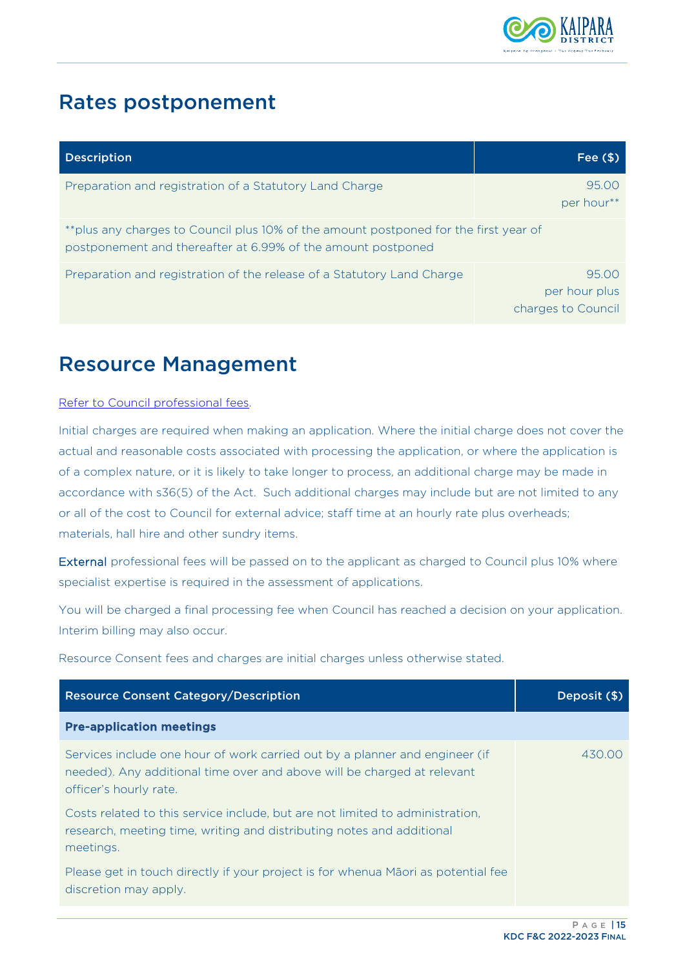

## <span id="page-16-0"></span>Rates postponement

| <b>Description</b>                                                                                                                                    | Fee $($ \$)                                  |
|-------------------------------------------------------------------------------------------------------------------------------------------------------|----------------------------------------------|
| Preparation and registration of a Statutory Land Charge                                                                                               | 95.00<br>per hour**                          |
| ** plus any charges to Council plus 10% of the amount postponed for the first year of<br>postponement and thereafter at 6.99% of the amount postponed |                                              |
| Preparation and registration of the release of a Statutory Land Charge                                                                                | 95.00<br>per hour plus<br>charges to Council |

## <span id="page-16-1"></span>Resource Management

#### [Refer to Council professional fees.](#page-10-1)

Initial charges are required when making an application. Where the initial charge does not cover the actual and reasonable costs associated with processing the application, or where the application is of a complex nature, or it is likely to take longer to process, an additional charge may be made in accordance with s36(5) of the Act. Such additional charges may include but are not limited to any or all of the cost to Council for external advice; staff time at an hourly rate plus overheads; materials, hall hire and other sundry items.

External professional fees will be passed on to the applicant as charged to Council plus 10% where specialist expertise is required in the assessment of applications.

You will be charged a final processing fee when Council has reached a decision on your application. Interim billing may also occur.

Resource Consent fees and charges are initial charges unless otherwise stated.

| <b>Resource Consent Category/Description</b>                                                                                                                                     | Deposit (\$) |
|----------------------------------------------------------------------------------------------------------------------------------------------------------------------------------|--------------|
| <b>Pre-application meetings</b>                                                                                                                                                  |              |
| Services include one hour of work carried out by a planner and engineer (if<br>needed). Any additional time over and above will be charged at relevant<br>officer's hourly rate. | 430.00       |
| Costs related to this service include, but are not limited to administration,<br>research, meeting time, writing and distributing notes and additional<br>meetings.              |              |
| Please get in touch directly if your project is for whenua Maori as potential fee<br>discretion may apply.                                                                       |              |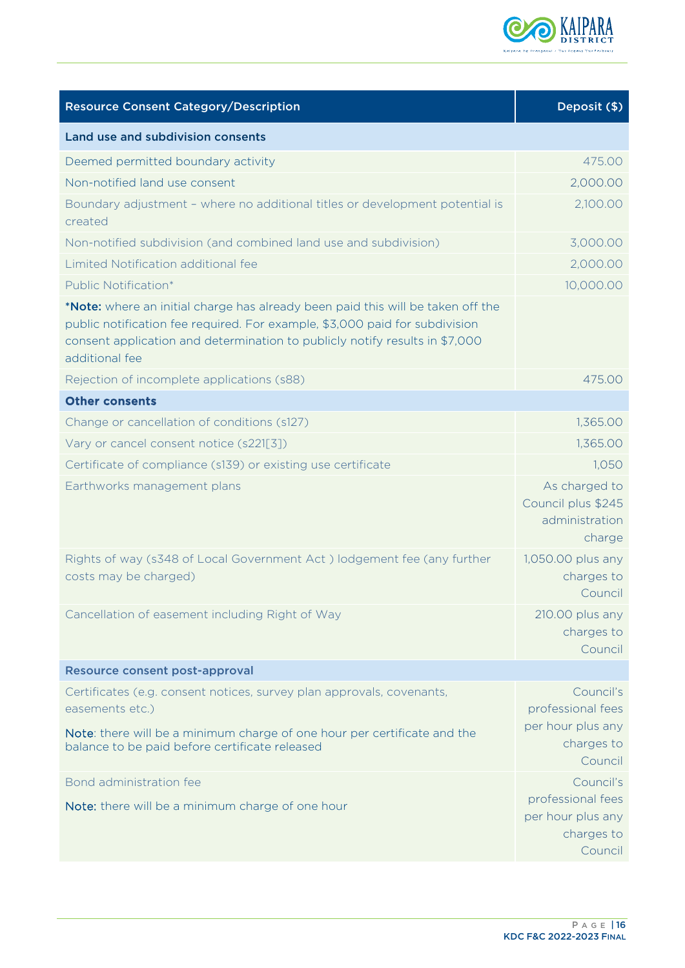

| <b>Resource Consent Category/Description</b>                                                                                                                                                                                                                    | Deposit (\$)                                                                 |
|-----------------------------------------------------------------------------------------------------------------------------------------------------------------------------------------------------------------------------------------------------------------|------------------------------------------------------------------------------|
| Land use and subdivision consents                                                                                                                                                                                                                               |                                                                              |
| Deemed permitted boundary activity                                                                                                                                                                                                                              | 475.00                                                                       |
| Non-notified land use consent                                                                                                                                                                                                                                   | 2,000.00                                                                     |
| Boundary adjustment - where no additional titles or development potential is<br>created                                                                                                                                                                         | 2,100.00                                                                     |
| Non-notified subdivision (and combined land use and subdivision)                                                                                                                                                                                                | 3,000.00                                                                     |
| Limited Notification additional fee                                                                                                                                                                                                                             | 2,000.00                                                                     |
| Public Notification*                                                                                                                                                                                                                                            | 10,000.00                                                                    |
| *Note: where an initial charge has already been paid this will be taken off the<br>public notification fee required. For example, \$3,000 paid for subdivision<br>consent application and determination to publicly notify results in \$7,000<br>additional fee |                                                                              |
| Rejection of incomplete applications (s88)                                                                                                                                                                                                                      | 475.00                                                                       |
| <b>Other consents</b>                                                                                                                                                                                                                                           |                                                                              |
| Change or cancellation of conditions (s127)                                                                                                                                                                                                                     | 1,365.00                                                                     |
| Vary or cancel consent notice (s221[3])                                                                                                                                                                                                                         | 1,365.00                                                                     |
| Certificate of compliance (s139) or existing use certificate                                                                                                                                                                                                    | 1,050                                                                        |
| Earthworks management plans                                                                                                                                                                                                                                     | As charged to<br>Council plus \$245<br>administration<br>charge              |
| Rights of way (s348 of Local Government Act) lodgement fee (any further<br>costs may be charged)                                                                                                                                                                | 1,050.00 plus any<br>charges to<br>Council                                   |
| Cancellation of easement including Right of Way                                                                                                                                                                                                                 | 210.00 plus any<br>charges to<br>Council                                     |
| <b>Resource consent post-approval</b>                                                                                                                                                                                                                           |                                                                              |
| Certificates (e.g. consent notices, survey plan approvals, covenants,<br>easements etc.)<br>Note: there will be a minimum charge of one hour per certificate and the<br>balance to be paid before certificate released                                          | Council's<br>professional fees<br>per hour plus any<br>charges to<br>Council |
| Bond administration fee                                                                                                                                                                                                                                         | Council's                                                                    |
| Note: there will be a minimum charge of one hour                                                                                                                                                                                                                | professional fees<br>per hour plus any<br>charges to<br>Council              |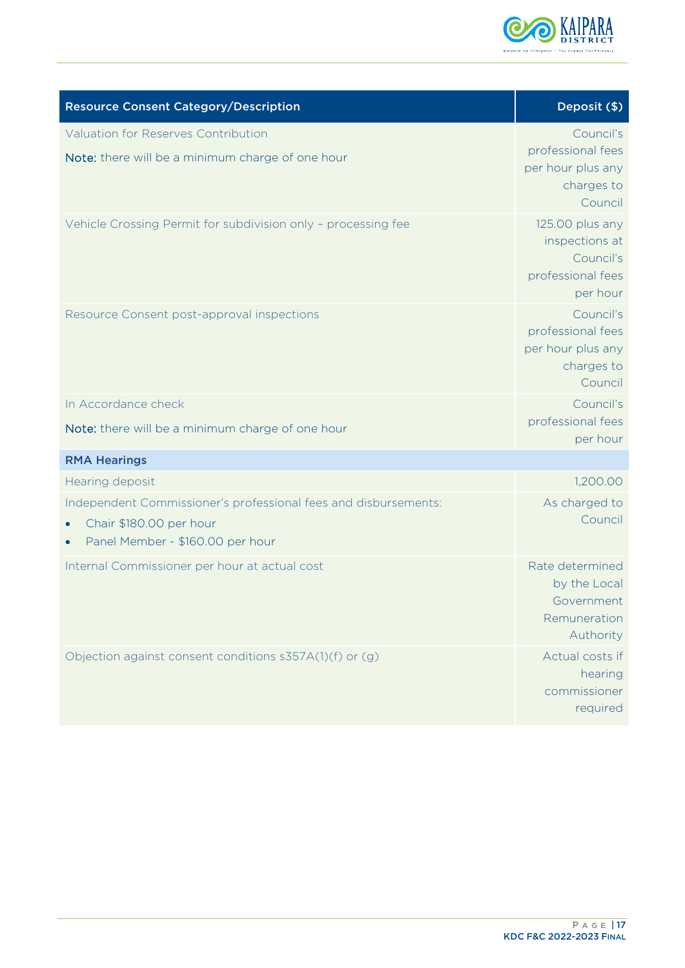

| <b>Resource Consent Category/Description</b>                                                                                   | Deposit (\$)                                                                    |
|--------------------------------------------------------------------------------------------------------------------------------|---------------------------------------------------------------------------------|
| <b>Valuation for Reserves Contribution</b><br>Note: there will be a minimum charge of one hour                                 | Council's<br>professional fees<br>per hour plus any<br>charges to<br>Council    |
| Vehicle Crossing Permit for subdivision only - processing fee                                                                  | 125.00 plus any<br>inspections at<br>Council's<br>professional fees<br>per hour |
| Resource Consent post-approval inspections                                                                                     | Council's<br>professional fees<br>per hour plus any<br>charges to<br>Council    |
| In Accordance check                                                                                                            | Council's                                                                       |
| Note: there will be a minimum charge of one hour                                                                               | professional fees<br>per hour                                                   |
| <b>RMA Hearings</b>                                                                                                            |                                                                                 |
| Hearing deposit                                                                                                                | 1,200.00                                                                        |
| Independent Commissioner's professional fees and disbursements:<br>Chair \$180.00 per hour<br>Panel Member - \$160.00 per hour | As charged to<br>Council                                                        |
| Internal Commissioner per hour at actual cost                                                                                  | Rate determined<br>by the Local<br>Government<br>Remuneration<br>Authority      |
| Objection against consent conditions s357A(1)(f) or (g)                                                                        | Actual costs if<br>hearing<br>commissioner<br>required                          |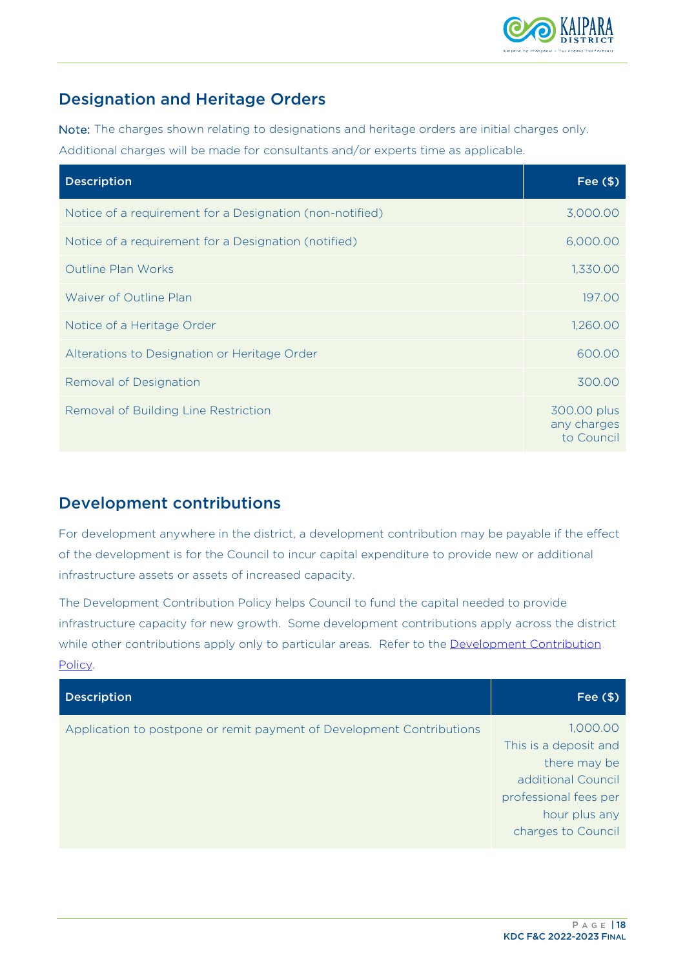

## <span id="page-19-0"></span>Designation and Heritage Orders

Note: The charges shown relating to designations and heritage orders are initial charges only. Additional charges will be made for consultants and/or experts time as applicable.

| <b>Description</b>                                       | Fee $($ \$)                              |
|----------------------------------------------------------|------------------------------------------|
| Notice of a requirement for a Designation (non-notified) | 3,000.00                                 |
| Notice of a requirement for a Designation (notified)     | 6,000.00                                 |
| <b>Outline Plan Works</b>                                | 1,330.00                                 |
| Waiver of Outline Plan                                   | 197.00                                   |
| Notice of a Heritage Order                               | 1,260.00                                 |
| Alterations to Designation or Heritage Order             | 600.00                                   |
| Removal of Designation                                   | 300.00                                   |
| Removal of Building Line Restriction                     | 300.00 plus<br>any charges<br>to Council |

### <span id="page-19-1"></span>Development contributions

For development anywhere in the district, a development contribution may be payable if the effect of the development is for the Council to incur capital expenditure to provide new or additional infrastructure assets or assets of increased capacity.

The Development Contribution Policy helps Council to fund the capital needed to provide infrastructure capacity for new growth. Some development contributions apply across the district while other contributions apply only to particular areas. Refer to the **Development Contribution** [Policy.](https://www.kaipara.govt.nz/uploads/LTP%202131/Dev%20Contributions%20Policy.pdf) 

| <b>Description</b>                                                    | Fee $($ \$)                                                                                                                             |
|-----------------------------------------------------------------------|-----------------------------------------------------------------------------------------------------------------------------------------|
| Application to postpone or remit payment of Development Contributions | 1,000.00<br>This is a deposit and<br>there may be<br>additional Council<br>professional fees per<br>hour plus any<br>charges to Council |
|                                                                       |                                                                                                                                         |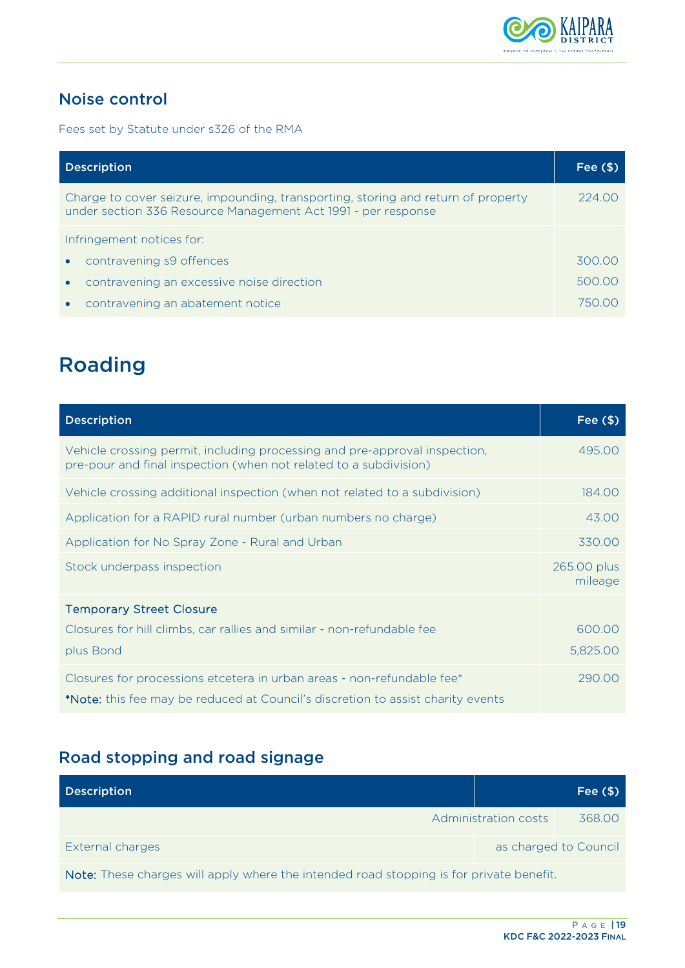

## <span id="page-20-0"></span>Noise control

Fees set by Statute under s326 of the RMA

| <b>Description</b>                                                                                                                                 | Fee $($ \$) |
|----------------------------------------------------------------------------------------------------------------------------------------------------|-------------|
| Charge to cover seizure, impounding, transporting, storing and return of property<br>under section 336 Resource Management Act 1991 - per response | 224.00      |
| Infringement notices for:                                                                                                                          |             |
| contravening s9 offences<br>$\bullet$                                                                                                              | 300.00      |
| contravening an excessive noise direction                                                                                                          | 500.00      |
| contravening an abatement notice                                                                                                                   | 750.00      |

# <span id="page-20-1"></span>Roading

| <b>Description</b>                                                                                                                                        | Fee $($ \$)            |
|-----------------------------------------------------------------------------------------------------------------------------------------------------------|------------------------|
| Vehicle crossing permit, including processing and pre-approval inspection,<br>pre-pour and final inspection (when not related to a subdivision)           | 495.00                 |
| Vehicle crossing additional inspection (when not related to a subdivision)                                                                                | 184.00                 |
| Application for a RAPID rural number (urban numbers no charge)                                                                                            | 43.00                  |
| Application for No Spray Zone - Rural and Urban                                                                                                           | 330.00                 |
| Stock underpass inspection                                                                                                                                | 265.00 plus<br>mileage |
| <b>Temporary Street Closure</b><br>Closures for hill climbs, car rallies and similar - non-refundable fee<br>plus Bond                                    | 600.00<br>5,825.00     |
| Closures for processions etcetera in urban areas - non-refundable fee*<br>*Note: this fee may be reduced at Council's discretion to assist charity events | 290.00                 |

## <span id="page-20-2"></span>Road stopping and road signage

| <b>Description</b>                                                                      |                      | Fee $($ \$)           |
|-----------------------------------------------------------------------------------------|----------------------|-----------------------|
|                                                                                         | Administration costs | 368.00                |
| External charges                                                                        |                      | as charged to Council |
| Note: These charges will apply where the intended road stopping is for private benefit. |                      |                       |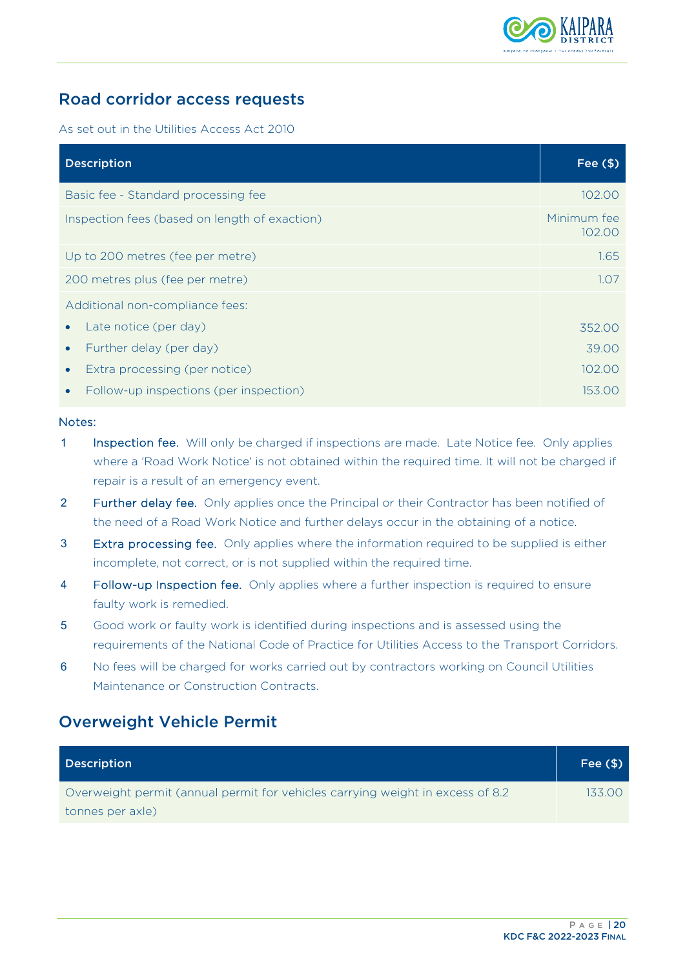

### <span id="page-21-0"></span>Road corridor access requests

As set out in the Utilities Access Act 2010

| <b>Description</b>                                  | Fee $($ \$)           |
|-----------------------------------------------------|-----------------------|
| Basic fee - Standard processing fee                 | 102.00                |
| Inspection fees (based on length of exaction)       | Minimum fee<br>102.00 |
| Up to 200 metres (fee per metre)                    | 1.65                  |
| 200 metres plus (fee per metre)                     | 1.07                  |
| Additional non-compliance fees:                     |                       |
| Late notice (per day)                               | 352.00                |
| Further delay (per day)<br>$\bullet$                | 39.00                 |
| Extra processing (per notice)<br>$\bullet$          | 102.00                |
| Follow-up inspections (per inspection)<br>$\bullet$ | 153.00                |

#### Notes:

- 1 Inspection fee. Will only be charged if inspections are made. Late Notice fee. Only applies where a 'Road Work Notice' is not obtained within the required time. It will not be charged if repair is a result of an emergency event.
- 2 Further delay fee. Only applies once the Principal or their Contractor has been notified of the need of a Road Work Notice and further delays occur in the obtaining of a notice.
- **3** Extra processing fee. Only applies where the information required to be supplied is either incomplete, not correct, or is not supplied within the required time.
- 4 Follow-up Inspection fee. Only applies where a further inspection is required to ensure faulty work is remedied.
- 5 Good work or faulty work is identified during inspections and is assessed using the requirements of the National Code of Practice for Utilities Access to the Transport Corridors.
- 6 No fees will be charged for works carried out by contractors working on Council Utilities Maintenance or Construction Contracts.

### <span id="page-21-1"></span>Overweight Vehicle Permit

| <b>Description</b>                                                              | Fee $($ \$) |
|---------------------------------------------------------------------------------|-------------|
| Overweight permit (annual permit for vehicles carrying weight in excess of 8.2) | 133.00      |
| tonnes per axle)                                                                |             |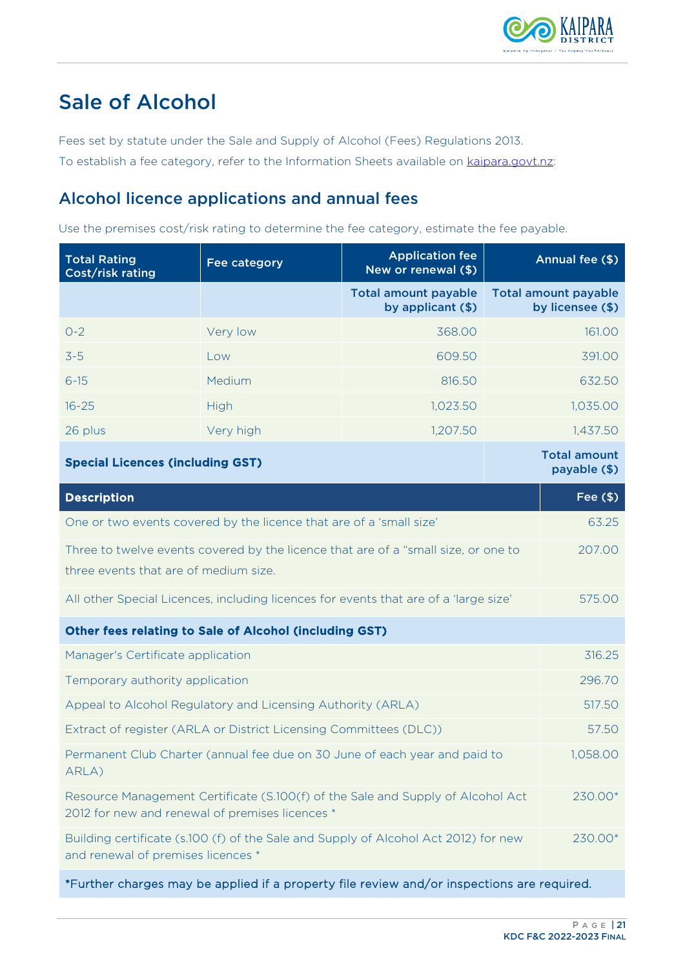

# <span id="page-22-0"></span>Sale of Alcohol

Fees set by statute under the Sale and Supply of Alcohol (Fees) Regulations 2013.

To establish a fee category, refer to the Information Sheets available on [kaipara.govt.nz:](https://www.kaipara.govt.nz/)

### <span id="page-22-1"></span>Alcohol licence applications and annual fees

Use the premises cost/risk rating to determine the fee category, estimate the fee payable.

| <b>Total Rating</b><br>Cost/risk rating                                                                                            | Fee category                                                                         | <b>Application fee</b><br>New or renewal (\$)    |  | Annual fee (\$)                                 |
|------------------------------------------------------------------------------------------------------------------------------------|--------------------------------------------------------------------------------------|--------------------------------------------------|--|-------------------------------------------------|
|                                                                                                                                    |                                                                                      | <b>Total amount payable</b><br>by applicant (\$) |  | <b>Total amount payable</b><br>by licensee (\$) |
| $O - 2$                                                                                                                            | Very low                                                                             | 368.00                                           |  | 161.00                                          |
| $3-5$                                                                                                                              | Low                                                                                  | 609.50                                           |  | 391.00                                          |
| $6 - 15$                                                                                                                           | Medium                                                                               | 816.50                                           |  | 632.50                                          |
| $16 - 25$                                                                                                                          | <b>High</b>                                                                          | 1,023.50                                         |  | 1,035.00                                        |
| 26 plus                                                                                                                            | Very high                                                                            | 1,207.50                                         |  | 1,437.50                                        |
| <b>Special Licences (including GST)</b>                                                                                            |                                                                                      |                                                  |  | <b>Total amount</b><br>payable (\$)             |
| <b>Description</b>                                                                                                                 |                                                                                      |                                                  |  | Fee $($ \$)                                     |
| One or two events covered by the licence that are of a 'small size'                                                                |                                                                                      | 63.25                                            |  |                                                 |
| Three to twelve events covered by the licence that are of a "small size, or one to                                                 |                                                                                      | 207.00                                           |  |                                                 |
| three events that are of medium size.                                                                                              |                                                                                      |                                                  |  |                                                 |
|                                                                                                                                    | All other Special Licences, including licences for events that are of a 'large size' |                                                  |  | 575.00                                          |
| Other fees relating to Sale of Alcohol (including GST)                                                                             |                                                                                      |                                                  |  |                                                 |
| Manager's Certificate application                                                                                                  |                                                                                      |                                                  |  | 316.25                                          |
| Temporary authority application                                                                                                    |                                                                                      |                                                  |  | 296.70                                          |
|                                                                                                                                    | Appeal to Alcohol Regulatory and Licensing Authority (ARLA)                          |                                                  |  | 517.50                                          |
|                                                                                                                                    | Extract of register (ARLA or District Licensing Committees (DLC))                    |                                                  |  | 57.50                                           |
| Permanent Club Charter (annual fee due on 30 June of each year and paid to<br>ARLA)                                                |                                                                                      | 1,058.00                                         |  |                                                 |
| Resource Management Certificate (S.100(f) of the Sale and Supply of Alcohol Act<br>2012 for new and renewal of premises licences * |                                                                                      | 230.00*                                          |  |                                                 |
| and renewal of premises licences *                                                                                                 | Building certificate (s.100 (f) of the Sale and Supply of Alcohol Act 2012) for new  |                                                  |  | 230.00*                                         |
|                                                                                                                                    |                                                                                      |                                                  |  |                                                 |

\*Further charges may be applied if a property file review and/or inspections are required.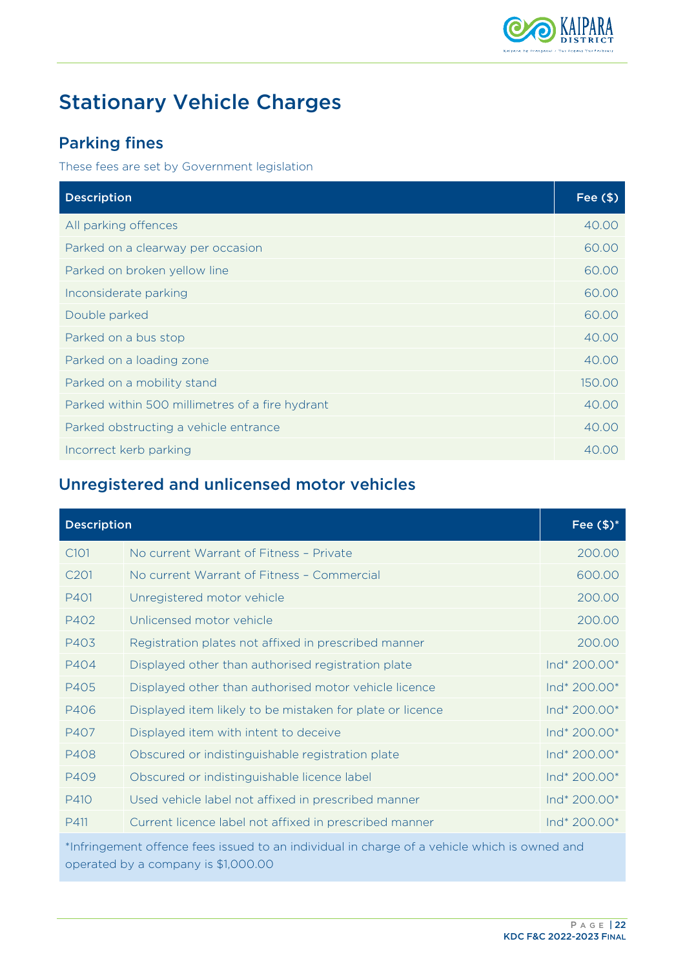

# <span id="page-23-0"></span>Stationary Vehicle Charges

## <span id="page-23-1"></span>Parking fines

These fees are set by Government legislation

| <b>Description</b>                              | Fee $($ \$) |
|-------------------------------------------------|-------------|
| All parking offences                            | 40.00       |
| Parked on a clearway per occasion               | 60.00       |
| Parked on broken yellow line                    | 60.00       |
| Inconsiderate parking                           | 60.00       |
| Double parked                                   | 60.00       |
| Parked on a bus stop                            | 40.00       |
| Parked on a loading zone                        | 40.00       |
| Parked on a mobility stand                      | 150.00      |
| Parked within 500 millimetres of a fire hydrant | 40.00       |
| Parked obstructing a vehicle entrance           | 40.00       |
| Incorrect kerb parking                          | 40.00       |

## <span id="page-23-2"></span>Unregistered and unlicensed motor vehicles

| <b>Description</b>                                                                                                                  |                                                           | Fee $$)^*$   |
|-------------------------------------------------------------------------------------------------------------------------------------|-----------------------------------------------------------|--------------|
| C <sub>101</sub>                                                                                                                    | No current Warrant of Fitness - Private                   | 200.00       |
| C <sub>201</sub>                                                                                                                    | No current Warrant of Fitness - Commercial                | 600.00       |
| P401                                                                                                                                | Unregistered motor vehicle                                | 200.00       |
| P402                                                                                                                                | Unlicensed motor vehicle                                  | 200.00       |
| P403                                                                                                                                | Registration plates not affixed in prescribed manner      | 200.00       |
| P404                                                                                                                                | Displayed other than authorised registration plate        | Ind* 200.00* |
| P405                                                                                                                                | Displayed other than authorised motor vehicle licence     | Ind* 200.00* |
| P406                                                                                                                                | Displayed item likely to be mistaken for plate or licence | Ind* 200.00* |
| P407                                                                                                                                | Displayed item with intent to deceive                     | Ind* 200.00* |
| P408                                                                                                                                | Obscured or indistinguishable registration plate          | Ind* 200.00* |
| P409                                                                                                                                | Obscured or indistinguishable licence label               | Ind* 200.00* |
| P410                                                                                                                                | Used vehicle label not affixed in prescribed manner       | Ind* 200.00* |
| P411                                                                                                                                | Current licence label not affixed in prescribed manner    | Ind* 200.00* |
| *Infringement offence fees issued to an individual in charge of a vehicle which is owned and<br>operated by a company is \$1,000.00 |                                                           |              |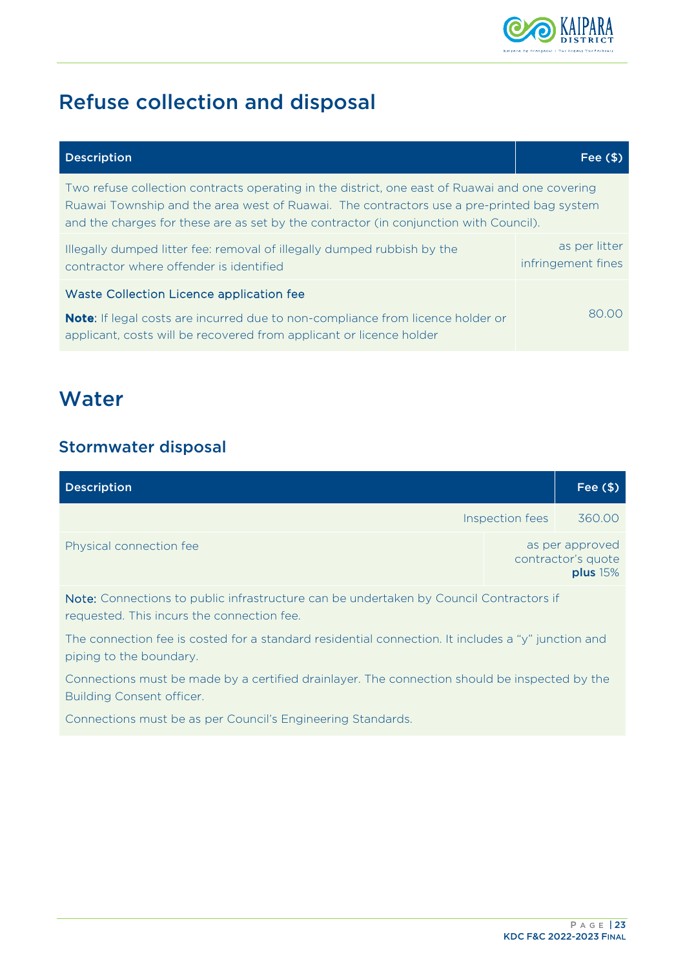

# <span id="page-24-0"></span>Refuse collection and disposal

| <b>Description</b>                                                                                                                                                                                                                                                                   | Fee $($ \$)                         |
|--------------------------------------------------------------------------------------------------------------------------------------------------------------------------------------------------------------------------------------------------------------------------------------|-------------------------------------|
| Two refuse collection contracts operating in the district, one east of Ruawai and one covering<br>Ruawai Township and the area west of Ruawai. The contractors use a pre-printed bag system<br>and the charges for these are as set by the contractor (in conjunction with Council). |                                     |
| Illegally dumped litter fee: removal of illegally dumped rubbish by the<br>contractor where offender is identified                                                                                                                                                                   | as per litter<br>infringement fines |
| Waste Collection Licence application fee<br>Note: If legal costs are incurred due to non-compliance from licence holder or                                                                                                                                                           | 80.00                               |
| applicant, costs will be recovered from applicant or licence holder                                                                                                                                                                                                                  |                                     |

## <span id="page-24-1"></span>**Water**

## <span id="page-24-2"></span>Stormwater disposal

| <b>Description</b>      |                 | Fee $($ \$)                                       |
|-------------------------|-----------------|---------------------------------------------------|
|                         | Inspection fees | 360.00                                            |
| Physical connection fee |                 | as per approved<br>contractor's quote<br>plus 15% |

Note: Connections to public infrastructure can be undertaken by Council Contractors if requested. This incurs the connection fee.

The connection fee is costed for a standard residential connection. It includes a "y" junction and piping to the boundary.

Connections must be made by a certified drainlayer. The connection should be inspected by the Building Consent officer.

Connections must be as per Council's Engineering Standards.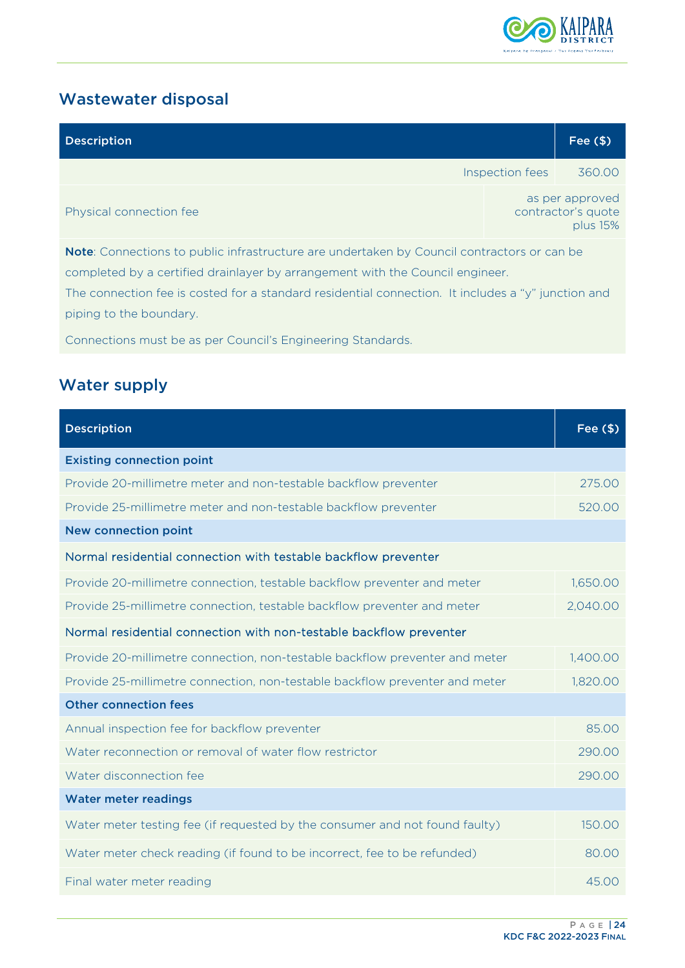

## <span id="page-25-0"></span>Wastewater disposal

| <b>Description</b>                                                                                 |                 | Fee $($ \$)                                       |
|----------------------------------------------------------------------------------------------------|-----------------|---------------------------------------------------|
|                                                                                                    | Inspection fees | 360.00                                            |
| Physical connection fee                                                                            |                 | as per approved<br>contractor's quote<br>plus 15% |
| <b>Note:</b> Connections to public infrastructure are undertaken by Council contractors or can be  |                 |                                                   |
| completed by a certified drainlayer by arrangement with the Council engineer.                      |                 |                                                   |
| The connection fee is costed for a standard residential connection. It includes a "y" junction and |                 |                                                   |

piping to the boundary.

Connections must be as per Council's Engineering Standards.

## <span id="page-25-1"></span>Water supply

| <b>Description</b>                                                          | Fee $($ \$) |
|-----------------------------------------------------------------------------|-------------|
| <b>Existing connection point</b>                                            |             |
| Provide 20-millimetre meter and non-testable backflow preventer             | 275.00      |
| Provide 25-millimetre meter and non-testable backflow preventer             | 520.00      |
| <b>New connection point</b>                                                 |             |
| Normal residential connection with testable backflow preventer              |             |
| Provide 20-millimetre connection, testable backflow preventer and meter     | 1,650.00    |
| Provide 25-millimetre connection, testable backflow preventer and meter     | 2,040.00    |
| Normal residential connection with non-testable backflow preventer          |             |
| Provide 20-millimetre connection, non-testable backflow preventer and meter | 1,400.00    |
| Provide 25-millimetre connection, non-testable backflow preventer and meter | 1,820.00    |
| <b>Other connection fees</b>                                                |             |
| Annual inspection fee for backflow preventer                                | 85.00       |
| Water reconnection or removal of water flow restrictor                      | 290.00      |
| Water disconnection fee                                                     | 290.00      |
| <b>Water meter readings</b>                                                 |             |
| Water meter testing fee (if requested by the consumer and not found faulty) | 150.00      |
| Water meter check reading (if found to be incorrect, fee to be refunded)    | 80.00       |
| Final water meter reading                                                   | 45.00       |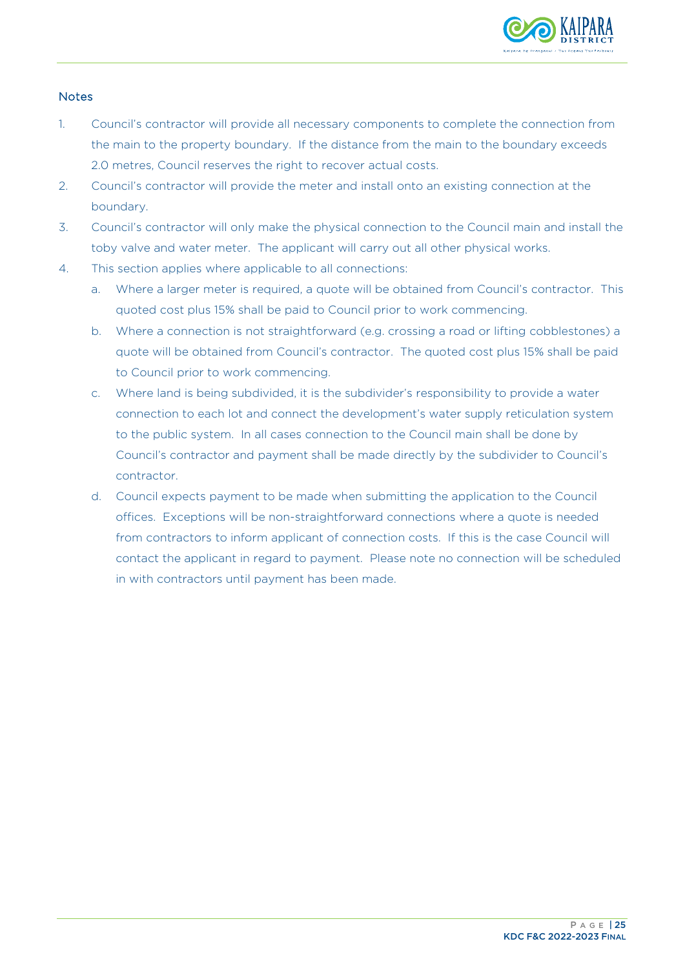

#### **Notes**

- 1. Council's contractor will provide all necessary components to complete the connection from the main to the property boundary. If the distance from the main to the boundary exceeds 2.0 metres, Council reserves the right to recover actual costs.
- 2. Council's contractor will provide the meter and install onto an existing connection at the boundary.
- 3. Council's contractor will only make the physical connection to the Council main and install the toby valve and water meter. The applicant will carry out all other physical works.
- 4. This section applies where applicable to all connections:
	- a. Where a larger meter is required, a quote will be obtained from Council's contractor. This quoted cost plus 15% shall be paid to Council prior to work commencing.
	- b. Where a connection is not straightforward (e.g. crossing a road or lifting cobblestones) a quote will be obtained from Council's contractor. The quoted cost plus 15% shall be paid to Council prior to work commencing.
	- c. Where land is being subdivided, it is the subdivider's responsibility to provide a water connection to each lot and connect the development's water supply reticulation system to the public system. In all cases connection to the Council main shall be done by Council's contractor and payment shall be made directly by the subdivider to Council's contractor.
	- d. Council expects payment to be made when submitting the application to the Council offices. Exceptions will be non-straightforward connections where a quote is needed from contractors to inform applicant of connection costs. If this is the case Council will contact the applicant in regard to payment. Please note no connection will be scheduled in with contractors until payment has been made.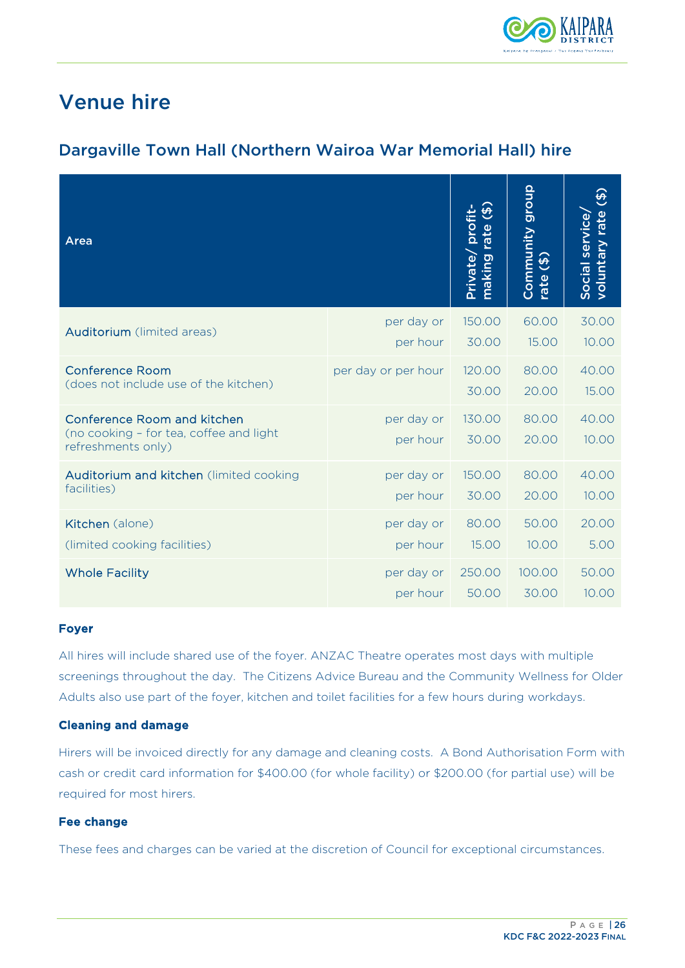

## <span id="page-27-0"></span>Venue hire

## <span id="page-27-1"></span>Dargaville Town Hall (Northern Wairoa War Memorial Hall) hire

| Area                                                                                         |                        | $\mathfrak{G}$<br>pro<br>making rate<br>Private, | dronb<br>Community<br>$\ddot{\bm{\theta}}$<br>rate | $\Theta$<br>voluntary rate<br>Social service, |
|----------------------------------------------------------------------------------------------|------------------------|--------------------------------------------------|----------------------------------------------------|-----------------------------------------------|
| Auditorium (limited areas)                                                                   | per day or             | 150.00                                           | 60.00                                              | 30.00                                         |
|                                                                                              | per hour               | 30.00                                            | 15.00                                              | 10.00                                         |
| <b>Conference Room</b>                                                                       | per day or per hour    | 120.00                                           | 80.00                                              | 40.00                                         |
| (does not include use of the kitchen)                                                        |                        | 30.00                                            | 20.00                                              | 15.00                                         |
| Conference Room and kitchen<br>(no cooking - for tea, coffee and light<br>refreshments only) | per day or<br>per hour | 130.00<br>30.00                                  | 80.00<br>20.00                                     | 40.00<br>10.00                                |
| Auditorium and kitchen (limited cooking                                                      | per day or             | 150.00                                           | 80.00                                              | 40.00                                         |
| facilities)                                                                                  | per hour               | 30.00                                            | 20.00                                              | 10.00                                         |
| Kitchen (alone)                                                                              | per day or             | 80.00                                            | 50.00                                              | 20.00                                         |
| (limited cooking facilities)                                                                 | per hour               | 15.00                                            | 10.00                                              | 5.00                                          |
| <b>Whole Facility</b>                                                                        | per day or             | 250.00                                           | 100.00                                             | 50.00                                         |
|                                                                                              | per hour               | 50.00                                            | 30.00                                              | 10.00                                         |

#### Foyer

All hires will include shared use of the foyer. ANZAC Theatre operates most days with multiple screenings throughout the day. The Citizens Advice Bureau and the Community Wellness for Older Adults also use part of the foyer, kitchen and toilet facilities for a few hours during workdays.

#### Cleaning and damage

Hirers will be invoiced directly for any damage and cleaning costs. A Bond Authorisation Form with cash or credit card information for \$400.00 (for whole facility) or \$200.00 (for partial use) will be required for most hirers.

#### Fee change

These fees and charges can be varied at the discretion of Council for exceptional circumstances.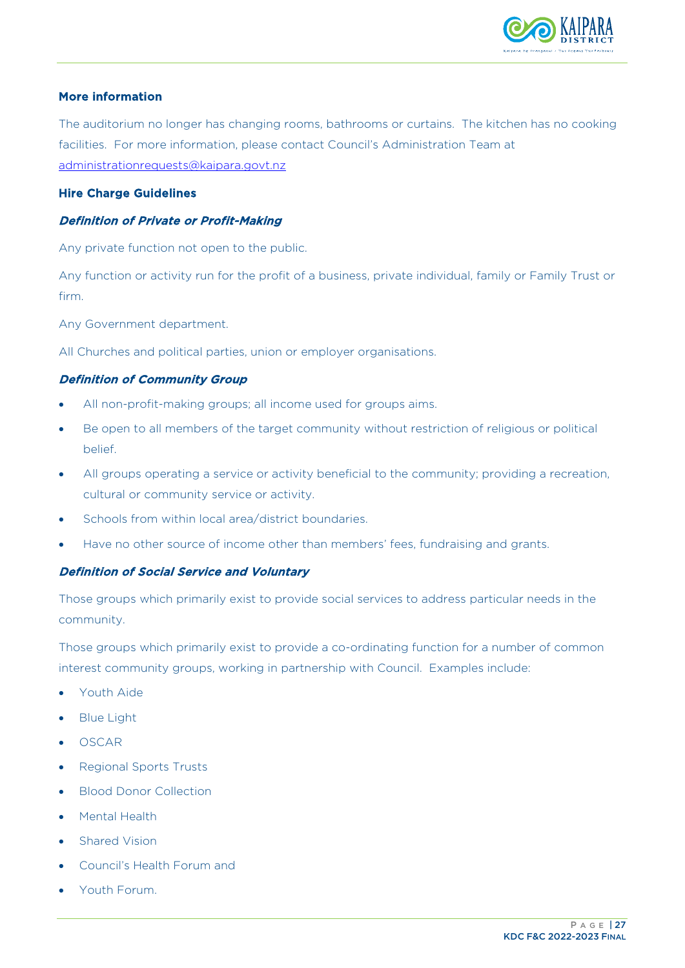

#### More information

The auditorium no longer has changing rooms, bathrooms or curtains. The kitchen has no cooking facilities. For more information, please contact Council's Administration Team at [administrationrequests@kaipara.govt.nz](mailto:administrationrequests@kaipara.govt.nz) 

#### Hire Charge Guidelines

#### Definition of Private or Profit-Making

Any private function not open to the public.

Any function or activity run for the profit of a business, private individual, family or Family Trust or firm.

Any Government department.

All Churches and political parties, union or employer organisations.

#### Definition of Community Group

- All non-profit-making groups; all income used for groups aims.
- Be open to all members of the target community without restriction of religious or political belief.
- All groups operating a service or activity beneficial to the community; providing a recreation, cultural or community service or activity.
- Schools from within local area/district boundaries.
- Have no other source of income other than members' fees, fundraising and grants.

#### Definition of Social Service and Voluntary

Those groups which primarily exist to provide social services to address particular needs in the community.

Those groups which primarily exist to provide a co-ordinating function for a number of common interest community groups, working in partnership with Council. Examples include:

- Youth Aide
- Blue Light
- OSCAR
- Regional Sports Trusts
- Blood Donor Collection
- **Mental Health**
- **Shared Vision**
- Council's Health Forum and
- Youth Forum.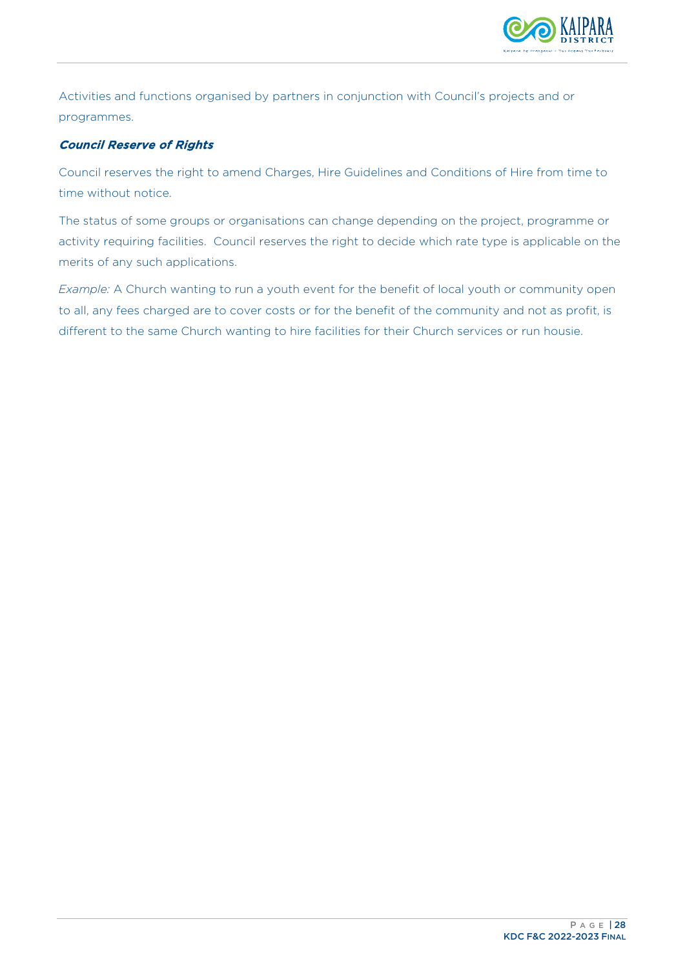

Activities and functions organised by partners in conjunction with Council's projects and or programmes.

#### Council Reserve of Rights

Council reserves the right to amend Charges, Hire Guidelines and Conditions of Hire from time to time without notice.

The status of some groups or organisations can change depending on the project, programme or activity requiring facilities. Council reserves the right to decide which rate type is applicable on the merits of any such applications.

*Example:* A Church wanting to run a youth event for the benefit of local youth or community open to all, any fees charged are to cover costs or for the benefit of the community and not as profit, is different to the same Church wanting to hire facilities for their Church services or run housie.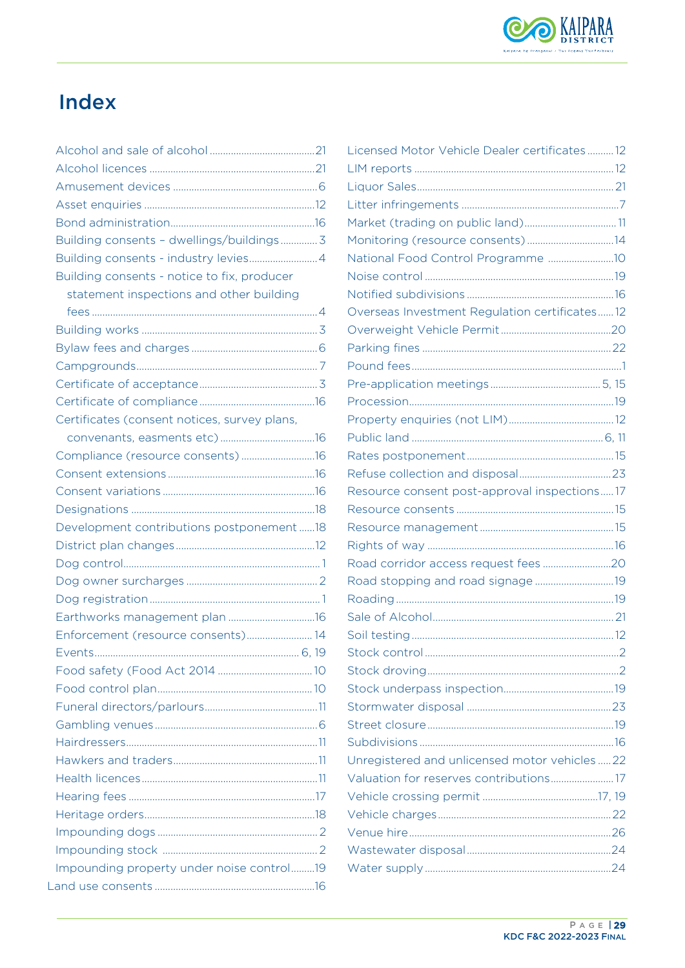

# <span id="page-30-0"></span>Index

| Building consents - dwellings/buildings 3    |  |
|----------------------------------------------|--|
|                                              |  |
| Building consents - notice to fix, producer  |  |
| statement inspections and other building     |  |
|                                              |  |
|                                              |  |
|                                              |  |
|                                              |  |
|                                              |  |
|                                              |  |
| Certificates (consent notices, survey plans, |  |
|                                              |  |
| Compliance (resource consents)16             |  |
|                                              |  |
|                                              |  |
|                                              |  |
| Development contributions postponement18     |  |
|                                              |  |
|                                              |  |
|                                              |  |
|                                              |  |
| Earthworks management plan 16                |  |
| Enforcement (resource consents) 14           |  |
|                                              |  |
|                                              |  |
|                                              |  |
|                                              |  |
|                                              |  |
|                                              |  |
|                                              |  |
|                                              |  |
|                                              |  |
|                                              |  |
|                                              |  |
|                                              |  |
| Impounding property under noise control19    |  |
|                                              |  |

| Licensed Motor Vehicle Dealer certificates12  |  |
|-----------------------------------------------|--|
|                                               |  |
|                                               |  |
|                                               |  |
| Market (trading on public land) 11            |  |
| Monitoring (resource consents)14              |  |
| National Food Control Programme 10            |  |
|                                               |  |
|                                               |  |
| Overseas Investment Regulation certificates12 |  |
|                                               |  |
|                                               |  |
|                                               |  |
|                                               |  |
|                                               |  |
|                                               |  |
|                                               |  |
|                                               |  |
|                                               |  |
| Resource consent post-approval inspections17  |  |
|                                               |  |
|                                               |  |
|                                               |  |
|                                               |  |
|                                               |  |
|                                               |  |
|                                               |  |
|                                               |  |
|                                               |  |
|                                               |  |
|                                               |  |
|                                               |  |
|                                               |  |
|                                               |  |
| Unregistered and unlicensed motor vehicles22  |  |
| Valuation for reserves contributions17        |  |
|                                               |  |
|                                               |  |
|                                               |  |
|                                               |  |
|                                               |  |
|                                               |  |